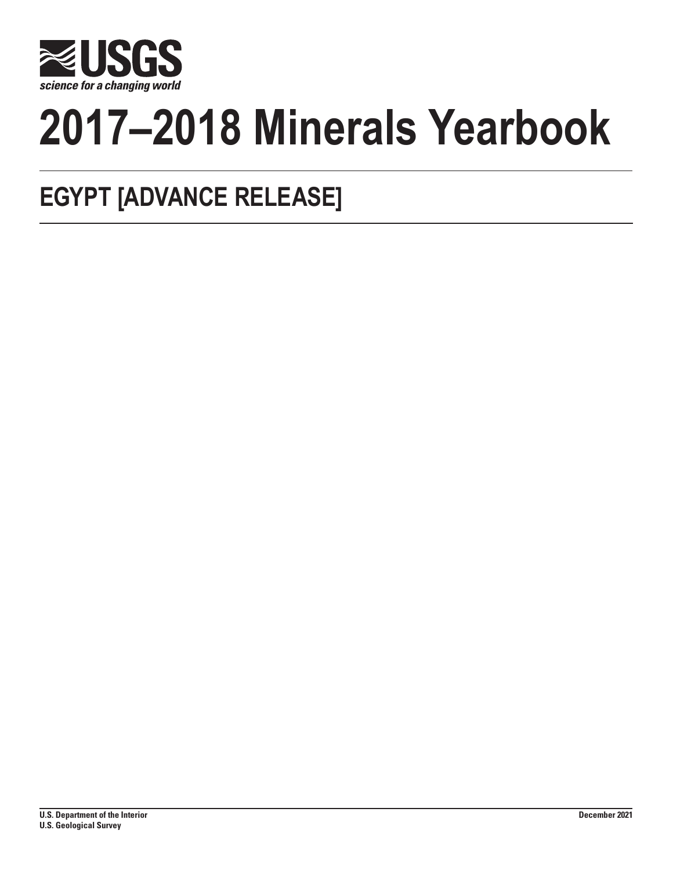

# **2017–2018 Minerals Yearbook**

# **EGYPT [ADVANCE RELEASE]**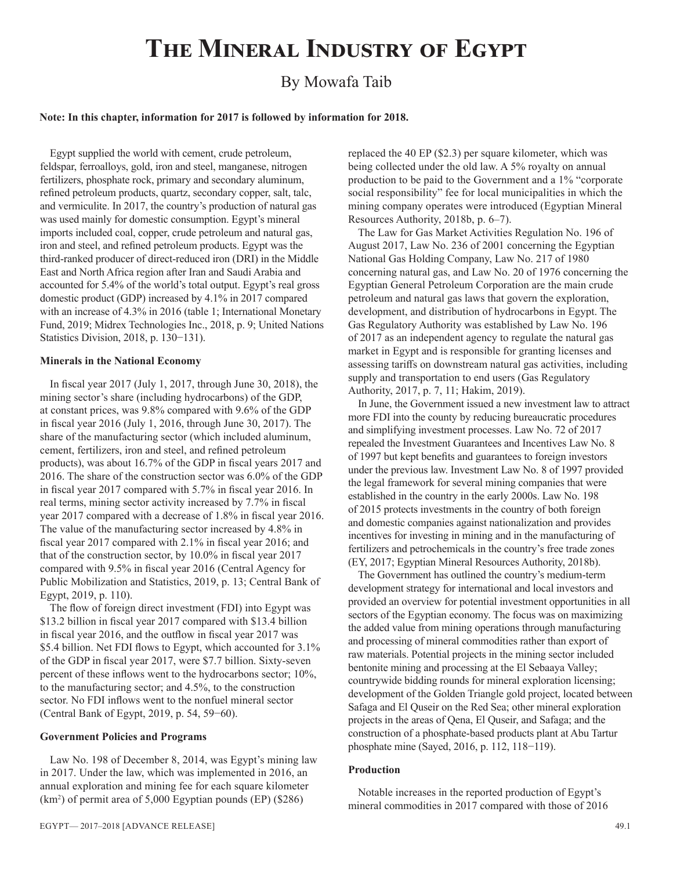# **The Mineral Industry of Egypt**

# By Mowafa Taib

#### **Note: In this chapter, information for 2017 is followed by information for 2018.**

Egypt supplied the world with cement, crude petroleum, feldspar, ferroalloys, gold, iron and steel, manganese, nitrogen fertilizers, phosphate rock, primary and secondary aluminum, refined petroleum products, quartz, secondary copper, salt, talc, and vermiculite. In 2017, the country's production of natural gas was used mainly for domestic consumption. Egypt's mineral imports included coal, copper, crude petroleum and natural gas, iron and steel, and refined petroleum products. Egypt was the third-ranked producer of direct-reduced iron (DRI) in the Middle East and North Africa region after Iran and Saudi Arabia and accounted for 5.4% of the world's total output. Egypt's real gross domestic product (GDP) increased by 4.1% in 2017 compared with an increase of 4.3% in 2016 (table 1; International Monetary Fund, 2019; Midrex Technologies Inc., 2018, p. 9; United Nations Statistics Division, 2018, p. 130−131).

#### **Minerals in the National Economy**

In fiscal year 2017 (July 1, 2017, through June 30, 2018), the mining sector's share (including hydrocarbons) of the GDP, at constant prices, was 9.8% compared with 9.6% of the GDP in fiscal year 2016 (July 1, 2016, through June 30, 2017). The share of the manufacturing sector (which included aluminum, cement, fertilizers, iron and steel, and refined petroleum products), was about 16.7% of the GDP in fiscal years 2017 and 2016. The share of the construction sector was 6.0% of the GDP in fiscal year 2017 compared with 5.7% in fiscal year 2016. In real terms, mining sector activity increased by 7.7% in fiscal year 2017 compared with a decrease of 1.8% in fiscal year 2016. The value of the manufacturing sector increased by 4.8% in fiscal year 2017 compared with 2.1% in fiscal year 2016; and that of the construction sector, by 10.0% in fiscal year 2017 compared with 9.5% in fiscal year 2016 (Central Agency for Public Mobilization and Statistics, 2019, p. 13; Central Bank of Egypt, 2019, p. 110).

The flow of foreign direct investment (FDI) into Egypt was \$13.2 billion in fiscal year 2017 compared with \$13.4 billion in fiscal year 2016, and the outflow in fiscal year 2017 was \$5.4 billion. Net FDI flows to Egypt, which accounted for 3.1% of the GDP in fiscal year 2017, were \$7.7 billion. Sixty-seven percent of these inflows went to the hydrocarbons sector; 10%, to the manufacturing sector; and 4.5%, to the construction sector. No FDI inflows went to the nonfuel mineral sector (Central Bank of Egypt, 2019, p. 54, 59−60).

#### **Government Policies and Programs**

Law No. 198 of December 8, 2014, was Egypt's mining law in 2017. Under the law, which was implemented in 2016, an annual exploration and mining fee for each square kilometer (km2 ) of permit area of 5,000 Egyptian pounds (EP) (\$286)

replaced the 40 EP (\$2.3) per square kilometer, which was being collected under the old law. A 5% royalty on annual production to be paid to the Government and a 1% "corporate social responsibility" fee for local municipalities in which the mining company operates were introduced (Egyptian Mineral Resources Authority, 2018b, p. 6–7).

The Law for Gas Market Activities Regulation No. 196 of August 2017, Law No. 236 of 2001 concerning the Egyptian National Gas Holding Company, Law No. 217 of 1980 concerning natural gas, and Law No. 20 of 1976 concerning the Egyptian General Petroleum Corporation are the main crude petroleum and natural gas laws that govern the exploration, development, and distribution of hydrocarbons in Egypt. The Gas Regulatory Authority was established by Law No. 196 of 2017 as an independent agency to regulate the natural gas market in Egypt and is responsible for granting licenses and assessing tariffs on downstream natural gas activities, including supply and transportation to end users (Gas Regulatory Authority, 2017, p. 7, 11; Hakim, 2019).

In June, the Government issued a new investment law to attract more FDI into the county by reducing bureaucratic procedures and simplifying investment processes. Law No. 72 of 2017 repealed the Investment Guarantees and Incentives Law No. 8 of 1997 but kept benefits and guarantees to foreign investors under the previous law. Investment Law No. 8 of 1997 provided the legal framework for several mining companies that were established in the country in the early 2000s. Law No. 198 of 2015 protects investments in the country of both foreign and domestic companies against nationalization and provides incentives for investing in mining and in the manufacturing of fertilizers and petrochemicals in the country's free trade zones (EY, 2017; Egyptian Mineral Resources Authority, 2018b).

The Government has outlined the country's medium-term development strategy for international and local investors and provided an overview for potential investment opportunities in all sectors of the Egyptian economy. The focus was on maximizing the added value from mining operations through manufacturing and processing of mineral commodities rather than export of raw materials. Potential projects in the mining sector included bentonite mining and processing at the El Sebaaya Valley; countrywide bidding rounds for mineral exploration licensing; development of the Golden Triangle gold project, located between Safaga and El Quseir on the Red Sea; other mineral exploration projects in the areas of Qena, El Quseir, and Safaga; and the construction of a phosphate-based products plant at Abu Tartur phosphate mine (Sayed, 2016, p. 112, 118−119).

#### **Production**

Notable increases in the reported production of Egypt's mineral commodities in 2017 compared with those of 2016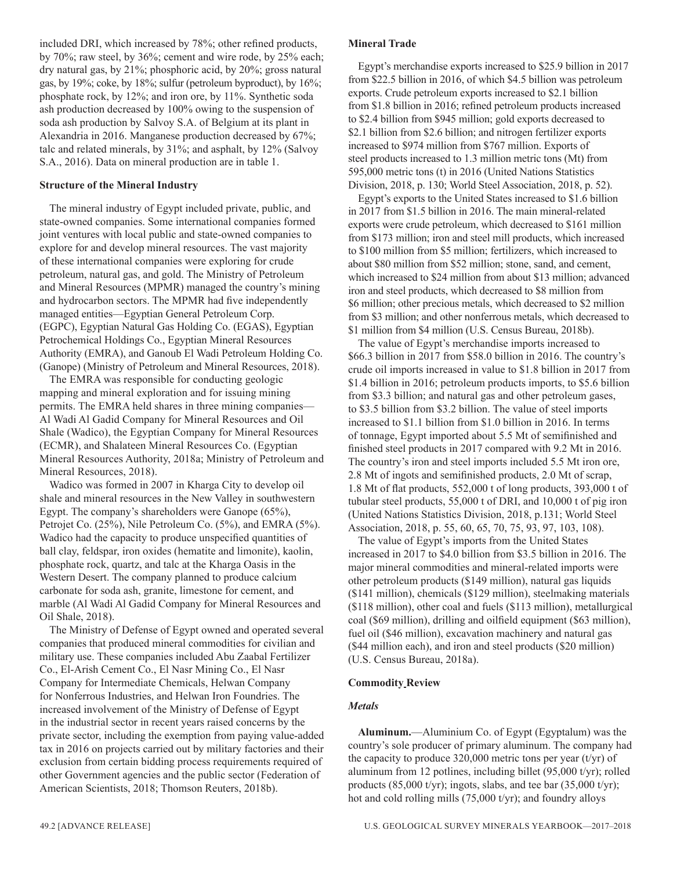included DRI, which increased by 78%; other refined products, by 70%; raw steel, by 36%; cement and wire rode, by 25% each; dry natural gas, by 21%; phosphoric acid, by 20%; gross natural gas, by 19%; coke, by 18%; sulfur (petroleum byproduct), by 16%; phosphate rock, by 12%; and iron ore, by 11%. Synthetic soda ash production decreased by 100% owing to the suspension of soda ash production by Salvoy S.A. of Belgium at its plant in Alexandria in 2016. Manganese production decreased by 67%; talc and related minerals, by 31%; and asphalt, by 12% (Salvoy S.A., 2016). Data on mineral production are in table 1.

# **Structure of the Mineral Industry**

The mineral industry of Egypt included private, public, and state-owned companies. Some international companies formed joint ventures with local public and state-owned companies to explore for and develop mineral resources. The vast majority of these international companies were exploring for crude petroleum, natural gas, and gold. The Ministry of Petroleum and Mineral Resources (MPMR) managed the country's mining and hydrocarbon sectors. The MPMR had five independently managed entities—Egyptian General Petroleum Corp. (EGPC), Egyptian Natural Gas Holding Co. (EGAS), Egyptian Petrochemical Holdings Co., Egyptian Mineral Resources Authority (EMRA), and Ganoub El Wadi Petroleum Holding Co. (Ganope) (Ministry of Petroleum and Mineral Resources, 2018).

The EMRA was responsible for conducting geologic mapping and mineral exploration and for issuing mining permits. The EMRA held shares in three mining companies— Al Wadi Al Gadid Company for Mineral Resources and Oil Shale (Wadico), the Egyptian Company for Mineral Resources (ECMR), and Shalateen Mineral Resources Co. (Egyptian Mineral Resources Authority, 2018a; Ministry of Petroleum and Mineral Resources, 2018).

Wadico was formed in 2007 in Kharga City to develop oil shale and mineral resources in the New Valley in southwestern Egypt. The company's shareholders were Ganope (65%), Petrojet Co. (25%), Nile Petroleum Co. (5%), and EMRA (5%). Wadico had the capacity to produce unspecified quantities of ball clay, feldspar, iron oxides (hematite and limonite), kaolin, phosphate rock, quartz, and talc at the Kharga Oasis in the Western Desert. The company planned to produce calcium carbonate for soda ash, granite, limestone for cement, and marble (Al Wadi Al Gadid Company for Mineral Resources and Oil Shale, 2018).

The Ministry of Defense of Egypt owned and operated several companies that produced mineral commodities for civilian and military use. These companies included Abu Zaabal Fertilizer Co., El-Arish Cement Co., El Nasr Mining Co., El Nasr Company for Intermediate Chemicals, Helwan Company for Nonferrous Industries, and Helwan Iron Foundries. The increased involvement of the Ministry of Defense of Egypt in the industrial sector in recent years raised concerns by the private sector, including the exemption from paying value-added tax in 2016 on projects carried out by military factories and their exclusion from certain bidding process requirements required of other Government agencies and the public sector (Federation of American Scientists, 2018; Thomson Reuters, 2018b).

#### **Mineral Trade**

Egypt's merchandise exports increased to \$25.9 billion in 2017 from \$22.5 billion in 2016, of which \$4.5 billion was petroleum exports. Crude petroleum exports increased to \$2.1 billion from \$1.8 billion in 2016; refined petroleum products increased to \$2.4 billion from \$945 million; gold exports decreased to \$2.1 billion from \$2.6 billion; and nitrogen fertilizer exports increased to \$974 million from \$767 million. Exports of steel products increased to 1.3 million metric tons (Mt) from 595,000 metric tons (t) in 2016 (United Nations Statistics Division, 2018, p. 130; World Steel Association, 2018, p. 52).

Egypt's exports to the United States increased to \$1.6 billion in 2017 from \$1.5 billion in 2016. The main mineral-related exports were crude petroleum, which decreased to \$161 million from \$173 million; iron and steel mill products, which increased to \$100 million from \$5 million; fertilizers, which increased to about \$80 million from \$52 million; stone, sand, and cement, which increased to \$24 million from about \$13 million; advanced iron and steel products, which decreased to \$8 million from \$6 million; other precious metals, which decreased to \$2 million from \$3 million; and other nonferrous metals, which decreased to \$1 million from \$4 million (U.S. Census Bureau, 2018b).

The value of Egypt's merchandise imports increased to \$66.3 billion in 2017 from \$58.0 billion in 2016. The country's crude oil imports increased in value to \$1.8 billion in 2017 from \$1.4 billion in 2016; petroleum products imports, to \$5.6 billion from \$3.3 billion; and natural gas and other petroleum gases, to \$3.5 billion from \$3.2 billion. The value of steel imports increased to \$1.1 billion from \$1.0 billion in 2016. In terms of tonnage, Egypt imported about 5.5 Mt of semifinished and finished steel products in 2017 compared with 9.2 Mt in 2016. The country's iron and steel imports included 5.5 Mt iron ore, 2.8 Mt of ingots and semifinished products, 2.0 Mt of scrap, 1.8 Mt of flat products, 552,000 t of long products, 393,000 t of tubular steel products, 55,000 t of DRI, and 10,000 t of pig iron (United Nations Statistics Division, 2018, p.131; World Steel Association, 2018, p. 55, 60, 65, 70, 75, 93, 97, 103, 108).

The value of Egypt's imports from the United States increased in 2017 to \$4.0 billion from \$3.5 billion in 2016. The major mineral commodities and mineral-related imports were other petroleum products (\$149 million), natural gas liquids (\$141 million), chemicals (\$129 million), steelmaking materials (\$118 million), other coal and fuels (\$113 million), metallurgical coal (\$69 million), drilling and oilfield equipment (\$63 million), fuel oil (\$46 million), excavation machinery and natural gas (\$44 million each), and iron and steel products (\$20 million) (U.S. Census Bureau, 2018a).

# **Commodity Review**

# *Metals*

**Aluminum.**—Aluminium Co. of Egypt (Egyptalum) was the country's sole producer of primary aluminum. The company had the capacity to produce 320,000 metric tons per year (t/yr) of aluminum from 12 potlines, including billet (95,000 t/yr); rolled products (85,000 t/yr); ingots, slabs, and tee bar (35,000 t/yr); hot and cold rolling mills (75,000 t/yr); and foundry alloys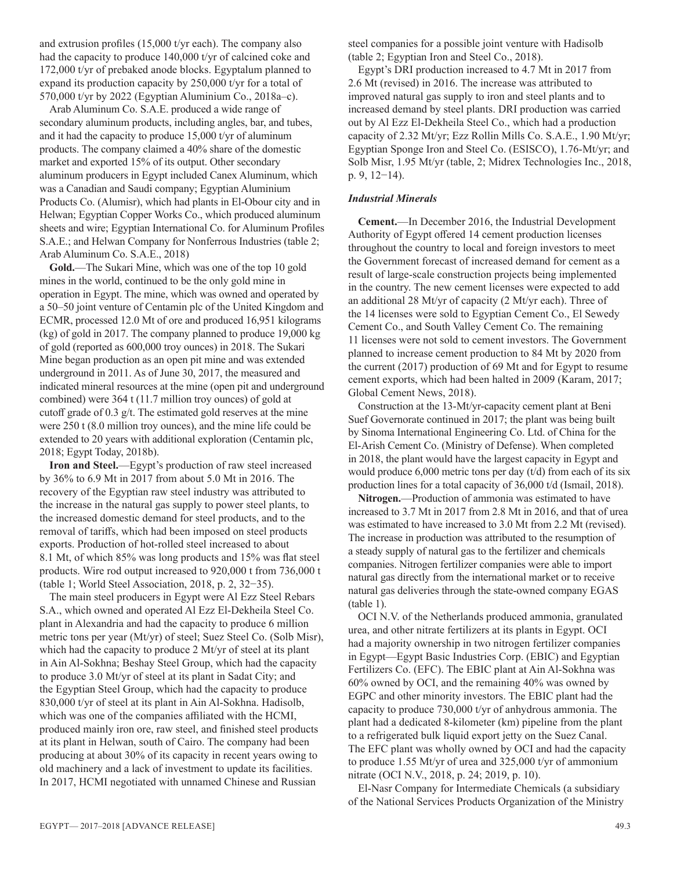and extrusion profiles (15,000 t/yr each). The company also had the capacity to produce 140,000 t/yr of calcined coke and 172,000 t/yr of prebaked anode blocks. Egyptalum planned to expand its production capacity by 250,000 t/yr for a total of 570,000 t/yr by 2022 (Egyptian Aluminium Co., 2018a–c).

Arab Aluminum Co. S.A.E. produced a wide range of secondary aluminum products, including angles, bar, and tubes, and it had the capacity to produce 15,000 t/yr of aluminum products. The company claimed a 40% share of the domestic market and exported 15% of its output. Other secondary aluminum producers in Egypt included Canex Aluminum, which was a Canadian and Saudi company; Egyptian Aluminium Products Co. (Alumisr), which had plants in El-Obour city and in Helwan; Egyptian Copper Works Co., which produced aluminum sheets and wire; Egyptian International Co. for Aluminum Profiles S.A.E.; and Helwan Company for Nonferrous Industries (table 2; Arab Aluminum Co. S.A.E., 2018)

**Gold.**—The Sukari Mine, which was one of the top 10 gold mines in the world, continued to be the only gold mine in operation in Egypt. The mine, which was owned and operated by a 50–50 joint venture of Centamin plc of the United Kingdom and ECMR, processed 12.0 Mt of ore and produced 16,951 kilograms (kg) of gold in 2017. The company planned to produce 19,000 kg of gold (reported as 600,000 troy ounces) in 2018. The Sukari Mine began production as an open pit mine and was extended underground in 2011. As of June 30, 2017, the measured and indicated mineral resources at the mine (open pit and underground combined) were 364 t (11.7 million troy ounces) of gold at cutoff grade of 0.3 g/t. The estimated gold reserves at the mine were 250 t (8.0 million troy ounces), and the mine life could be extended to 20 years with additional exploration (Centamin plc, 2018; Egypt Today, 2018b).

**Iron and Steel.**—Egypt's production of raw steel increased by 36% to 6.9 Mt in 2017 from about 5.0 Mt in 2016. The recovery of the Egyptian raw steel industry was attributed to the increase in the natural gas supply to power steel plants, to the increased domestic demand for steel products, and to the removal of tariffs, which had been imposed on steel products exports. Production of hot-rolled steel increased to about 8.1 Mt, of which 85% was long products and 15% was flat steel products. Wire rod output increased to 920,000 t from 736,000 t (table 1; World Steel Association, 2018, p. 2, 32−35).

The main steel producers in Egypt were Al Ezz Steel Rebars S.A., which owned and operated Al Ezz El-Dekheila Steel Co. plant in Alexandria and had the capacity to produce 6 million metric tons per year (Mt/yr) of steel; Suez Steel Co. (Solb Misr), which had the capacity to produce 2 Mt/yr of steel at its plant in Ain Al-Sokhna; Beshay Steel Group, which had the capacity to produce 3.0 Mt/yr of steel at its plant in Sadat City; and the Egyptian Steel Group, which had the capacity to produce 830,000 t/yr of steel at its plant in Ain Al-Sokhna. Hadisolb, which was one of the companies affiliated with the HCMI, produced mainly iron ore, raw steel, and finished steel products at its plant in Helwan, south of Cairo. The company had been producing at about 30% of its capacity in recent years owing to old machinery and a lack of investment to update its facilities. In 2017, HCMI negotiated with unnamed Chinese and Russian

steel companies for a possible joint venture with Hadisolb (table 2; Egyptian Iron and Steel Co., 2018).

Egypt's DRI production increased to 4.7 Mt in 2017 from 2.6 Mt (revised) in 2016. The increase was attributed to improved natural gas supply to iron and steel plants and to increased demand by steel plants. DRI production was carried out by Al Ezz El-Dekheila Steel Co., which had a production capacity of 2.32 Mt/yr; Ezz Rollin Mills Co. S.A.E., 1.90 Mt/yr; Egyptian Sponge Iron and Steel Co. (ESISCO), 1.76-Mt/yr; and Solb Misr, 1.95 Mt/yr (table, 2; Midrex Technologies Inc., 2018, p. 9, 12−14).

# *Industrial Minerals*

**Cement.**—In December 2016, the Industrial Development Authority of Egypt offered 14 cement production licenses throughout the country to local and foreign investors to meet the Government forecast of increased demand for cement as a result of large-scale construction projects being implemented in the country. The new cement licenses were expected to add an additional 28 Mt/yr of capacity (2 Mt/yr each). Three of the 14 licenses were sold to Egyptian Cement Co., El Sewedy Cement Co., and South Valley Cement Co. The remaining 11 licenses were not sold to cement investors. The Government planned to increase cement production to 84 Mt by 2020 from the current (2017) production of 69 Mt and for Egypt to resume cement exports, which had been halted in 2009 (Karam, 2017; Global Cement News, 2018).

Construction at the 13-Mt/yr-capacity cement plant at Beni Suef Governorate continued in 2017; the plant was being built by Sinoma International Engineering Co. Ltd. of China for the El-Arish Cement Co. (Ministry of Defense). When completed in 2018, the plant would have the largest capacity in Egypt and would produce 6,000 metric tons per day (t/d) from each of its six production lines for a total capacity of 36,000 t/d (Ismail, 2018).

**Nitrogen.**—Production of ammonia was estimated to have increased to 3.7 Mt in 2017 from 2.8 Mt in 2016, and that of urea was estimated to have increased to 3.0 Mt from 2.2 Mt (revised). The increase in production was attributed to the resumption of a steady supply of natural gas to the fertilizer and chemicals companies. Nitrogen fertilizer companies were able to import natural gas directly from the international market or to receive natural gas deliveries through the state-owned company EGAS (table 1).

OCI N.V. of the Netherlands produced ammonia, granulated urea, and other nitrate fertilizers at its plants in Egypt. OCI had a majority ownership in two nitrogen fertilizer companies in Egypt—Egypt Basic Industries Corp. (EBIC) and Egyptian Fertilizers Co. (EFC). The EBIC plant at Ain Al-Sokhna was 60% owned by OCI, and the remaining 40% was owned by EGPC and other minority investors. The EBIC plant had the capacity to produce 730,000 t/yr of anhydrous ammonia. The plant had a dedicated 8-kilometer (km) pipeline from the plant to a refrigerated bulk liquid export jetty on the Suez Canal. The EFC plant was wholly owned by OCI and had the capacity to produce 1.55 Mt/yr of urea and 325,000 t/yr of ammonium nitrate (OCI N.V., 2018, p. 24; 2019, p. 10).

El-Nasr Company for Intermediate Chemicals (a subsidiary of the National Services Products Organization of the Ministry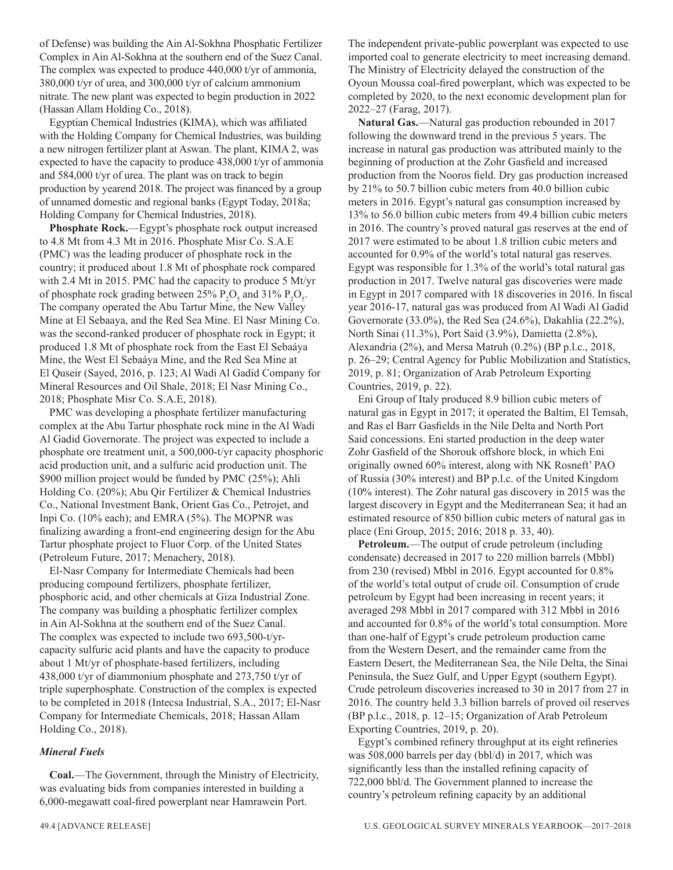of Defense) was building the Ain Al-Sokhna Phosphatic Fertilizer Complex in Ain Al-Sokhna at the southern end of the Suez Canal. The complex was expected to produce 440,000 t/yr of ammonia, 380,000 t/yr of urea, and 300,000 t/yr of calcium ammonium nitrate. The new plant was expected to begin production in 2022 (Hassan Allam Holding Co., 2018).

Egyptian Chemical Industries (KIMA), which was affiliated with the Holding Company for Chemical Industries, was building a new nitrogen fertilizer plant at Aswan. The plant, KIMA 2, was expected to have the capacity to produce 438,000 t/yr of ammonia and 584,000 t/yr of urea. The plant was on track to begin production by yearend 2018. The project was financed by a group of unnamed domestic and regional banks (Egypt Today, 2018a; Holding Company for Chemical Industries, 2018).

**Phosphate Rock.**—Egypt's phosphate rock output increased to 4.8 Mt from 4.3 Mt in 2016. Phosphate Misr Co. S.A.E (PMC) was the leading producer of phosphate rock in the country; it produced about 1.8 Mt of phosphate rock compared with 2.4 Mt in 2015. PMC had the capacity to produce 5 Mt/yr of phosphate rock grading between 25%  $P_2O_5$  and 31%  $P_2O_5$ . The company operated the Abu Tartur Mine, the New Valley Mine at El Sebaaya, and the Red Sea Mine. El Nasr Mining Co. was the second-ranked producer of phosphate rock in Egypt; it produced 1.8 Mt of phosphate rock from the East El Sebaáya Mine, the West El Sebaáya Mine, and the Red Sea Mine at El Quseir (Sayed, 2016, p. 123; Al Wadi Al Gadid Company for Mineral Resources and Oil Shale, 2018; El Nasr Mining Co., 2018; Phosphate Misr Co. S.A.E, 2018).

PMC was developing a phosphate fertilizer manufacturing complex at the Abu Tartur phosphate rock mine in the Al Wadi Al Gadid Governorate. The project was expected to include a phosphate ore treatment unit, a 500,000-t/yr capacity phosphoric acid production unit, and a sulfuric acid production unit. The \$900 million project would be funded by PMC (25%); Ahli Holding Co. (20%); Abu Qir Fertilizer & Chemical Industries Co., National Investment Bank, Orient Gas Co., Petrojet, and Inpi Co. (10% each); and EMRA (5%). The MOPNR was finalizing awarding a front-end engineering design for the Abu Tartur phosphate project to Fluor Corp. of the United States (Petroleum Future, 2017; Menachery, 2018).

El-Nasr Company for Intermediate Chemicals had been producing compound fertilizers, phosphate fertilizer, phosphoric acid, and other chemicals at Giza Industrial Zone. The company was building a phosphatic fertilizer complex in Ain Al-Sokhna at the southern end of the Suez Canal. The complex was expected to include two 693,500-t/yrcapacity sulfuric acid plants and have the capacity to produce about 1 Mt/yr of phosphate-based fertilizers, including 438,000 t/yr of diammonium phosphate and 273,750 t/yr of triple superphosphate. Construction of the complex is expected to be completed in 2018 (Intecsa Industrial, S.A., 2017; El-Nasr Company for Intermediate Chemicals, 2018; Hassan Allam Holding Co., 2018).

# *Mineral Fuels*

**Coal.**—The Government, through the Ministry of Electricity, was evaluating bids from companies interested in building a 6,000-megawatt coal-fired powerplant near Hamrawein Port.

The independent private-public powerplant was expected to use imported coal to generate electricity to meet increasing demand. The Ministry of Electricity delayed the construction of the Oyoun Moussa coal-fired powerplant, which was expected to be completed by 2020, to the next economic development plan for 2022–27 (Farag, 2017).

**Natural Gas.**—Natural gas production rebounded in 2017 following the downward trend in the previous 5 years. The increase in natural gas production was attributed mainly to the beginning of production at the Zohr Gasfield and increased production from the Nooros field. Dry gas production increased by 21% to 50.7 billion cubic meters from 40.0 billion cubic meters in 2016. Egypt's natural gas consumption increased by 13% to 56.0 billion cubic meters from 49.4 billion cubic meters in 2016. The country's proved natural gas reserves at the end of 2017 were estimated to be about 1.8 trillion cubic meters and accounted for 0.9% of the world's total natural gas reserves. Egypt was responsible for 1.3% of the world's total natural gas production in 2017. Twelve natural gas discoveries were made in Egypt in 2017 compared with 18 discoveries in 2016. In fiscal year 2016-17, natural gas was produced from Al Wadi Al Gadid Governorate (33.0%), the Red Sea (24.6%), Dakahlia (22.2%), North Sinai (11.3%), Port Said (3.9%), Damietta (2.8%), Alexandria (2%), and Mersa Matruh (0.2%) (BP p.l.c., 2018, p. 26–29; Central Agency for Public Mobilization and Statistics, 2019, p. 81; Organization of Arab Petroleum Exporting Countries, 2019, p. 22).

Eni Group of Italy produced 8.9 billion cubic meters of natural gas in Egypt in 2017; it operated the Baltim, El Temsah, and Ras el Barr Gasfields in the Nile Delta and North Port Said concessions. Eni started production in the deep water Zohr Gasfield of the Shorouk offshore block, in which Eni originally owned 60% interest, along with NK Rosneft' PAO of Russia (30% interest) and BP p.l.c. of the United Kingdom (10% interest). The Zohr natural gas discovery in 2015 was the largest discovery in Egypt and the Mediterranean Sea; it had an estimated resource of 850 billion cubic meters of natural gas in place (Eni Group, 2015; 2016; 2018 p. 33, 40).

**Petroleum.**—The output of crude petroleum (including condensate) decreased in 2017 to 220 million barrels (Mbbl) from 230 (revised) Mbbl in 2016. Egypt accounted for 0.8% of the world's total output of crude oil. Consumption of crude petroleum by Egypt had been increasing in recent years; it averaged 298 Mbbl in 2017 compared with 312 Mbbl in 2016 and accounted for 0.8% of the world's total consumption. More than one-half of Egypt's crude petroleum production came from the Western Desert, and the remainder came from the Eastern Desert, the Mediterranean Sea, the Nile Delta, the Sinai Peninsula, the Suez Gulf, and Upper Egypt (southern Egypt). Crude petroleum discoveries increased to 30 in 2017 from 27 in 2016. The country held 3.3 billion barrels of proved oil reserves (BP p.l.c., 2018, p. 12–15; Organization of Arab Petroleum Exporting Countries, 2019, p. 20).

Egypt's combined refinery throughput at its eight refineries was 508,000 barrels per day (bbl/d) in 2017, which was significantly less than the installed refining capacity of 722,000 bbl/d. The Government planned to increase the country's petroleum refining capacity by an additional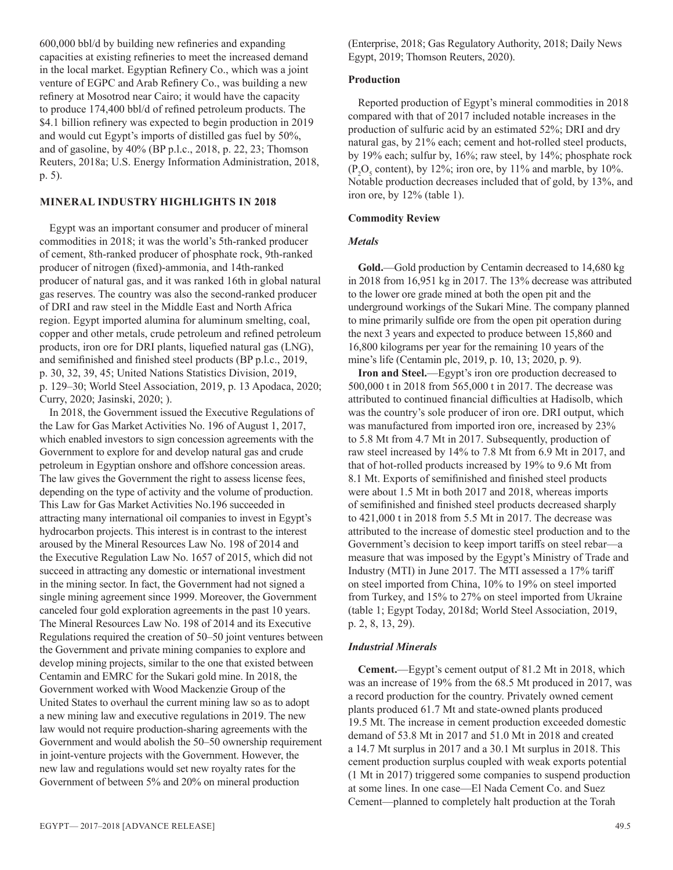600,000 bbl/d by building new refineries and expanding capacities at existing refineries to meet the increased demand in the local market. Egyptian Refinery Co., which was a joint venture of EGPC and Arab Refinery Co., was building a new refinery at Mosotrod near Cairo; it would have the capacity to produce 174,400 bbl/d of refined petroleum products. The \$4.1 billion refinery was expected to begin production in 2019 and would cut Egypt's imports of distilled gas fuel by 50%, and of gasoline, by 40% (BP p.l.c., 2018, p. 22, 23; Thomson Reuters, 2018a; U.S. Energy Information Administration, 2018, p. 5).

# **MINERAL INDUSTRY HIGHLIGHTS IN 2018**

Egypt was an important consumer and producer of mineral commodities in 2018; it was the world's 5th-ranked producer of cement, 8th-ranked producer of phosphate rock, 9th-ranked producer of nitrogen (fixed)-ammonia, and 14th-ranked producer of natural gas, and it was ranked 16th in global natural gas reserves. The country was also the second-ranked producer of DRI and raw steel in the Middle East and North Africa region. Egypt imported alumina for aluminum smelting, coal, copper and other metals, crude petroleum and refined petroleum products, iron ore for DRI plants, liquefied natural gas (LNG), and semifinished and finished steel products (BP p.l.c., 2019, p. 30, 32, 39, 45; United Nations Statistics Division, 2019, p. 129–30; World Steel Association, 2019, p. 13 Apodaca, 2020; Curry, 2020; Jasinski, 2020; ).

In 2018, the Government issued the Executive Regulations of the Law for Gas Market Activities No. 196 of August 1, 2017, which enabled investors to sign concession agreements with the Government to explore for and develop natural gas and crude petroleum in Egyptian onshore and offshore concession areas. The law gives the Government the right to assess license fees, depending on the type of activity and the volume of production. This Law for Gas Market Activities No.196 succeeded in attracting many international oil companies to invest in Egypt's hydrocarbon projects. This interest is in contrast to the interest aroused by the Mineral Resources Law No. 198 of 2014 and the Executive Regulation Law No. 1657 of 2015, which did not succeed in attracting any domestic or international investment in the mining sector. In fact, the Government had not signed a single mining agreement since 1999. Moreover, the Government canceled four gold exploration agreements in the past 10 years. The Mineral Resources Law No. 198 of 2014 and its Executive Regulations required the creation of 50–50 joint ventures between the Government and private mining companies to explore and develop mining projects, similar to the one that existed between Centamin and EMRC for the Sukari gold mine. In 2018, the Government worked with Wood Mackenzie Group of the United States to overhaul the current mining law so as to adopt a new mining law and executive regulations in 2019. The new law would not require production-sharing agreements with the Government and would abolish the 50–50 ownership requirement in joint-venture projects with the Government. However, the new law and regulations would set new royalty rates for the Government of between 5% and 20% on mineral production

(Enterprise, 2018; Gas Regulatory Authority, 2018; Daily News Egypt, 2019; Thomson Reuters, 2020).

# **Production**

Reported production of Egypt's mineral commodities in 2018 compared with that of 2017 included notable increases in the production of sulfuric acid by an estimated 52%; DRI and dry natural gas, by 21% each; cement and hot-rolled steel products, by 19% each; sulfur by, 16%; raw steel, by 14%; phosphate rock  $(P_2O_5 \text{ content})$ , by 12%; iron ore, by 11% and marble, by 10%. Notable production decreases included that of gold, by 13%, and iron ore, by 12% (table 1).

# **Commodity Review**

# *Metals*

**Gold.**—Gold production by Centamin decreased to 14,680 kg in 2018 from 16,951 kg in 2017. The 13% decrease was attributed to the lower ore grade mined at both the open pit and the underground workings of the Sukari Mine. The company planned to mine primarily sulfide ore from the open pit operation during the next 3 years and expected to produce between 15,860 and 16,800 kilograms per year for the remaining 10 years of the mine's life (Centamin plc, 2019, p. 10, 13; 2020, p. 9).

**Iron and Steel.**—Egypt's iron ore production decreased to 500,000 t in 2018 from 565,000 t in 2017. The decrease was attributed to continued financial difficulties at Hadisolb, which was the country's sole producer of iron ore. DRI output, which was manufactured from imported iron ore, increased by 23% to 5.8 Mt from 4.7 Mt in 2017. Subsequently, production of raw steel increased by 14% to 7.8 Mt from 6.9 Mt in 2017, and that of hot-rolled products increased by 19% to 9.6 Mt from 8.1 Mt. Exports of semifinished and finished steel products were about 1.5 Mt in both 2017 and 2018, whereas imports of semifinished and finished steel products decreased sharply to 421,000 t in 2018 from 5.5 Mt in 2017. The decrease was attributed to the increase of domestic steel production and to the Government's decision to keep import tariffs on steel rebar—a measure that was imposed by the Egypt's Ministry of Trade and Industry (MTI) in June 2017. The MTI assessed a 17% tariff on steel imported from China, 10% to 19% on steel imported from Turkey, and 15% to 27% on steel imported from Ukraine (table 1; Egypt Today, 2018d; World Steel Association, 2019, p. 2, 8, 13, 29).

# *Industrial Minerals*

**Cement.**—Egypt's cement output of 81.2 Mt in 2018, which was an increase of 19% from the 68.5 Mt produced in 2017, was a record production for the country. Privately owned cement plants produced 61.7 Mt and state-owned plants produced 19.5 Mt. The increase in cement production exceeded domestic demand of 53.8 Mt in 2017 and 51.0 Mt in 2018 and created a 14.7 Mt surplus in 2017 and a 30.1 Mt surplus in 2018. This cement production surplus coupled with weak exports potential (1 Mt in 2017) triggered some companies to suspend production at some lines. In one case—El Nada Cement Co. and Suez Cement—planned to completely halt production at the Torah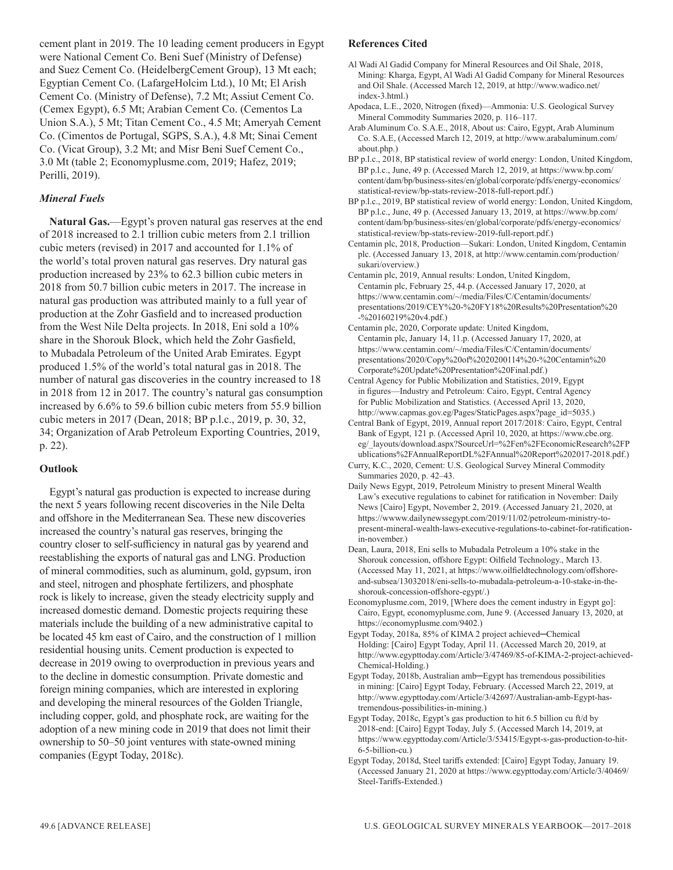cement plant in 2019. The 10 leading cement producers in Egypt were National Cement Co. Beni Suef (Ministry of Defense) and Suez Cement Co. (HeidelbergCement Group), 13 Mt each; Egyptian Cement Co. (LafargeHolcim Ltd.), 10 Mt; El Arish Cement Co. (Ministry of Defense), 7.2 Mt; Assiut Cement Co. (Cemex Egypt), 6.5 Mt; Arabian Cement Co. (Cementos La Union S.A.), 5 Mt; Titan Cement Co., 4.5 Mt; Ameryah Cement Co. (Cimentos de Portugal, SGPS, S.A.), 4.8 Mt; Sinai Cement Co. (Vicat Group), 3.2 Mt; and Misr Beni Suef Cement Co., 3.0 Mt (table 2; Economyplusme.com, 2019; Hafez, 2019; Perilli, 2019).

# *Mineral Fuels*

**Natural Gas.**—Egypt's proven natural gas reserves at the end of 2018 increased to 2.1 trillion cubic meters from 2.1 trillion cubic meters (revised) in 2017 and accounted for 1.1% of the world's total proven natural gas reserves. Dry natural gas production increased by 23% to 62.3 billion cubic meters in 2018 from 50.7 billion cubic meters in 2017. The increase in natural gas production was attributed mainly to a full year of production at the Zohr Gasfield and to increased production from the West Nile Delta projects. In 2018, Eni sold a 10% share in the Shorouk Block, which held the Zohr Gasfield, to Mubadala Petroleum of the United Arab Emirates. Egypt produced 1.5% of the world's total natural gas in 2018. The number of natural gas discoveries in the country increased to 18 in 2018 from 12 in 2017. The country's natural gas consumption increased by 6.6% to 59.6 billion cubic meters from 55.9 billion cubic meters in 2017 (Dean, 2018; BP p.l.c., 2019, p. 30, 32, 34; Organization of Arab Petroleum Exporting Countries, 2019, p. 22).

# **Outlook**

Egypt's natural gas production is expected to increase during the next 5 years following recent discoveries in the Nile Delta and offshore in the Mediterranean Sea. These new discoveries increased the country's natural gas reserves, bringing the country closer to self-sufficiency in natural gas by yearend and reestablishing the exports of natural gas and LNG. Production of mineral commodities, such as aluminum, gold, gypsum, iron and steel, nitrogen and phosphate fertilizers, and phosphate rock is likely to increase, given the steady electricity supply and increased domestic demand. Domestic projects requiring these materials include the building of a new administrative capital to be located 45 km east of Cairo, and the construction of 1 million residential housing units. Cement production is expected to decrease in 2019 owing to overproduction in previous years and to the decline in domestic consumption. Private domestic and foreign mining companies, which are interested in exploring and developing the mineral resources of the Golden Triangle, including copper, gold, and phosphate rock, are waiting for the adoption of a new mining code in 2019 that does not limit their ownership to 50–50 joint ventures with state-owned mining companies (Egypt Today, 2018c).

# **References Cited**

- Al Wadi Al Gadid Company for Mineral Resources and Oil Shale, 2018, Mining: Kharga, Egypt, Al Wadi Al Gadid Company for Mineral Resources and Oil Shale. (Accessed March 12, 2019, at http://www.wadico.net/ index-3.html.)
- Apodaca, L.E., 2020, Nitrogen (fixed)—Ammonia: U.S. Geological Survey Mineral Commodity Summaries 2020, p. 116–117.
- Arab Aluminum Co. S.A.E., 2018, About us: Cairo, Egypt, Arab Aluminum Co. S.A.E, (Accessed March 12, 2019, at http://www.arabaluminum.com/ about.php.)
- BP p.l.c., 2018, BP statistical review of world energy: London, United Kingdom, BP p.l.c., June, 49 p. (Accessed March 12, 2019, at https://www.bp.com/ content/dam/bp/business-sites/en/global/corporate/pdfs/energy-economics/ statistical-review/bp-stats-review-2018-full-report.pdf.)
- BP p.l.c., 2019, BP statistical review of world energy: London, United Kingdom, BP p.l.c., June, 49 p. (Accessed January 13, 2019, at https://www.bp.com/ content/dam/bp/business-sites/en/global/corporate/pdfs/energy-economics/ statistical-review/bp-stats-review-2019-full-report.pdf.)
- Centamin plc, 2018, Production—Sukari: London, United Kingdom, Centamin plc. (Accessed January 13, 2018, at http://www.centamin.com/production/ sukari/overview.)
- Centamin plc, 2019, Annual results: London, United Kingdom, Centamin plc, February 25, 44.p. (Accessed January 17, 2020, at https://www.centamin.com/~/media/Files/C/Centamin/documents/ presentations/2019/CEY%20-%20FY18%20Results%20Presentation%20 -%20160219%20v4.pdf.)
- Centamin plc, 2020, Corporate update: United Kingdom, Centamin plc, January 14, 11.p. (Accessed January 17, 2020, at https://www.centamin.com/~/media/Files/C/Centamin/documents/ presentations/2020/Copy%20of%2020200114%20-%20Centamin%20 Corporate%20Update%20Presentation%20Final.pdf.)
- Central Agency for Public Mobilization and Statistics, 2019, Egypt in figures—Industry and Petroleum: Cairo, Egypt, Central Agency for Public Mobilization and Statistics. (Accessed April 13, 2020, http://www.capmas.gov.eg/Pages/StaticPages.aspx?page\_id=5035.)
- Central Bank of Egypt, 2019, Annual report 2017/2018: Cairo, Egypt, Central Bank of Egypt, 121 p. (Accessed April 10, 2020, at https://www.cbe.org. eg/\_layouts/download.aspx?SourceUrl=%2Fen%2FEconomicResearch%2FP ublications%2FAnnualReportDL%2FAnnual%20Report%202017-2018.pdf.)
- Curry, K.C., 2020, Cement: U.S. Geological Survey Mineral Commodity Summaries 2020, p. 42–43.
- Daily News Egypt, 2019, Petroleum Ministry to present Mineral Wealth Law's executive regulations to cabinet for ratification in November: Daily News [Cairo] Egypt, November 2, 2019. (Accessed January 21, 2020, at https://wwww.dailynewssegypt.com/2019/11/02/petroleum-ministry-topresent-mineral-wealth-laws-executive-regulations-to-cabinet-for-ratificationin-november.)
- Dean, Laura, 2018, Eni sells to Mubadala Petroleum a 10% stake in the Shorouk concession, offshore Egypt: Oilfield Technology., March 13. (Accessed May 11, 2021, at https://www.oilfieldtechnology.com/offshoreand-subsea/13032018/eni-sells-to-mubadala-petroleum-a-10-stake-in-theshorouk-concession-offshore-egypt/.)
- Economyplusme.com, 2019, [Where does the cement industry in Egypt go]: Cairo, Egypt, economyplusme.com, June 9. (Accessed January 13, 2020, at https://economyplusme.com/9402.)
- Egypt Today, 2018a, 85% of KIMA 2 project achieved─Chemical Holding: [Cairo] Egypt Today, April 11. (Accessed March 20, 2019, at http://www.egypttoday.com/Article/3/47469/85-of-KIMA-2-project-achieved-Chemical-Holding.)
- Egypt Today, 2018b, Australian amb─Egypt has tremendous possibilities in mining: [Cairo] Egypt Today, February. (Accessed March 22, 2019, at http://www.egypttoday.com/Article/3/42697/Australian-amb-Egypt-hastremendous-possibilities-in-mining.)
- Egypt Today, 2018c, Egypt's gas production to hit 6.5 billion cu ft/d by 2018-end: [Cairo] Egypt Today, July 5. (Accessed March 14, 2019, at https://www.egypttoday.com/Article/3/53415/Egypt-s-gas-production-to-hit-6-5-billion-cu.)
- Egypt Today, 2018d, Steel tariffs extended: [Cairo] Egypt Today, January 19. (Accessed January 21, 2020 at https://www.egypttoday.com/Article/3/40469/ Steel-Tariffs-Extended.)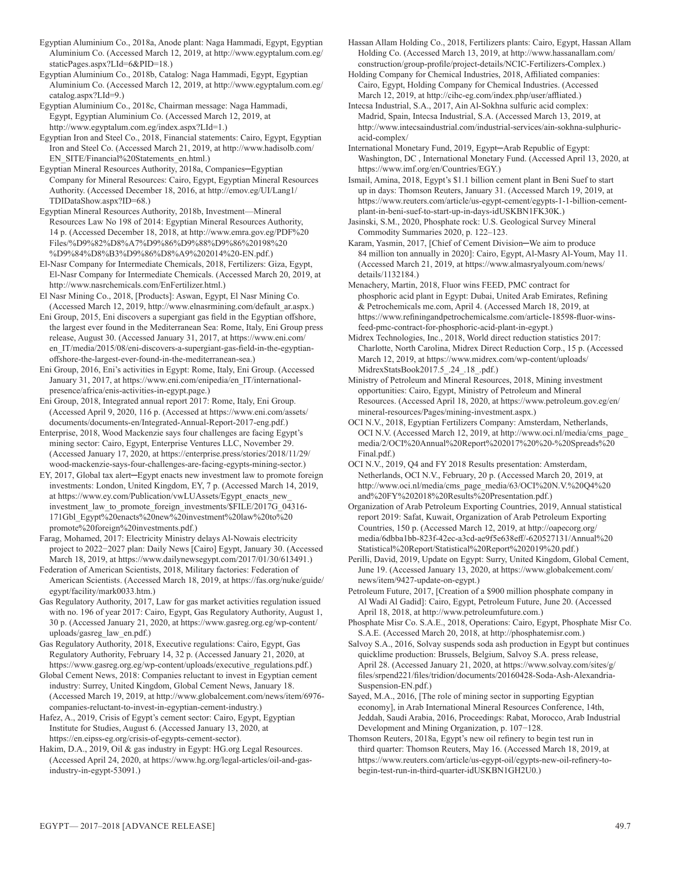Egyptian Aluminium Co., 2018a, Anode plant: Naga Hammadi, Egypt, Egyptian Aluminium Co. (Accessed March 12, 2019, at http://www.egyptalum.com.eg/ staticPages.aspx?LId=6&PID=18.)

Egyptian Aluminium Co., 2018b, Catalog: Naga Hammadi, Egypt, Egyptian Aluminium Co. (Accessed March 12, 2019, at http://www.egyptalum.com.eg/ catalog.aspx?LId=9.)

Egyptian Aluminium Co., 2018c, Chairman message: Naga Hammadi, Egypt, Egyptian Aluminium Co. (Accessed March 12, 2019, at http://www.egyptalum.com.eg/index.aspx?LId=1.)

Egyptian Iron and Steel Co., 2018, Financial statements: Cairo, Egypt, Egyptian Iron and Steel Co. (Accessed March 21, 2019, at http://www.hadisolb.com/ EN\_SITE/Financial%20Statements\_en.html.)

Egyptian Mineral Resources Authority, 2018a, Companies─Egyptian Company for Mineral Resources: Cairo, Egypt, Egyptian Mineral Resources Authority. (Accessed December 18, 2016, at http://emov.eg/UI/Lang1/ TDIDataShow.aspx?ID=68.)

Egyptian Mineral Resources Authority, 2018b, Investment—Mineral Resources Law No 198 of 2014: Egyptian Mineral Resources Authority, 14 p. (Accessed December 18, 2018, at http://www.emra.gov.eg/PDF%20 Files/%D9%82%D8%A7%D9%86%D9%88%D9%86%20198%20 %D9%84%D8%B3%D9%86%D8%A9%202014%20-EN.pdf.)

El-Nasr Company for Intermediate Chemicals, 2018, Fertilizers: Giza, Egypt, El-Nasr Company for Intermediate Chemicals. (Accessed March 20, 2019, at http://www.nasrchemicals.com/EnFertilizer.html.)

El Nasr Mining Co., 2018, [Products]: Aswan, Egypt, El Nasr Mining Co. (Accessed March 12, 2019, http://www.elnasrmining.com/default\_ar.aspx.)

Eni Group, 2015, Eni discovers a supergiant gas field in the Egyptian offshore, the largest ever found in the Mediterranean Sea: Rome, Italy, Eni Group press release, August 30. (Accessed January 31, 2017, at https://www.eni.com/ en\_IT/media/2015/08/eni-discovers-a-supergiant-gas-field-in-the-egyptianoffshore-the-largest-ever-found-in-the-mediterranean-sea.)

Eni Group, 2016, Eni's activities in Egypt: Rome, Italy, Eni Group. (Accessed January 31, 2017, at https://www.eni.com/enipedia/en\_IT/internationalpresence/africa/enis-activities-in-egypt.page.)

Eni Group, 2018, Integrated annual report 2017: Rome, Italy, Eni Group. (Accessed April 9, 2020, 116 p. (Accessed at https://www.eni.com/assets/ documents/documents-en/Integrated-Annual-Report-2017-eng.pdf.)

Enterprise, 2018, Wood Mackenzie says four challenges are facing Egypt's mining sector: Cairo, Egypt, Enterprise Ventures LLC, November 29. (Accessed January 17, 2020, at https://enterprise.press/stories/2018/11/29/ wood-mackenzie-says-four-challenges-are-facing-egypts-mining-sector.)

EY, 2017, Global tax alert─Egypt enacts new investment law to promote foreign investments: London, United Kingdom, EY, 7 p. (Accessed March 14, 2019, at https://www.ey.com/Publication/vwLUAssets/Egypt\_enacts\_new\_ investment\_law\_to\_promote\_foreign\_investments/\$FILE/2017G\_04316- 171Gbl\_Egypt%20enacts%20new%20investment%20law%20to%20 promote%20foreign%20investments.pdf.)

Farag, Mohamed, 2017: Electricity Ministry delays Al-Nowais electricity project to 2022−2027 plan: Daily News [Cairo] Egypt, January 30. (Accessed March 18, 2019, at https://www.dailynewsegypt.com/2017/01/30/613491.)

Federation of American Scientists, 2018, Military factories: Federation of American Scientists. (Accessed March 18, 2019, at https://fas.org/nuke/guide/ egypt/facility/mark0033.htm.)

Gas Regulatory Authority, 2017, Law for gas market activities regulation issued with no. 196 of year 2017: Cairo, Egypt, Gas Regulatory Authority, August 1, 30 p. (Accessed January 21, 2020, at https://www.gasreg.org.eg/wp-content/ uploads/gasreg\_law\_en.pdf.)

Gas Regulatory Authority, 2018, Executive regulations: Cairo, Egypt, Gas Regulatory Authority, February 14, 32 p. (Accessed January 21, 2020, at https://www.gasreg.org.eg/wp-content/uploads/executive\_regulations.pdf.)

Global Cement News, 2018: Companies reluctant to invest in Egyptian cement industry: Surrey, United Kingdom, Global Cement News, January 18. (Accessed March 19, 2019, at http://www.globalcement.com/news/item/6976-

companies-reluctant-to-invest-in-egyptian-cement-industry.) Hafez, A., 2019, Crisis of Egypt's cement sector: Cairo, Egypt, Egyptian Institute for Studies, August 6. (Accessed January 13, 2020, at

https://en.eipss-eg.org/crisis-of-egypts-cement-sector). Hakim, D.A., 2019, Oil & gas industry in Egypt: HG.org Legal Resources. (Accessed April 24, 2020, at https://www.hg.org/legal-articles/oil-and-gasindustry-in-egypt-53091.)

Hassan Allam Holding Co., 2018, Fertilizers plants: Cairo, Egypt, Hassan Allam Holding Co. (Accessed March 13, 2019, at http://www.hassanallam.com/ construction/group-profile/project-details/NCIC-Fertilizers-Complex.)

Holding Company for Chemical Industries, 2018, Affiliated companies: Cairo, Egypt, Holding Company for Chemical Industries. (Accessed March 12, 2019, at http://cihc-eg.com/index.php/user/affliated.)

Intecsa Industrial, S.A., 2017, Ain Al-Sokhna sulfuric acid complex: Madrid, Spain, Intecsa Industrial, S.A. (Accessed March 13, 2019, at http://www.intecsaindustrial.com/industrial-services/ain-sokhna-sulphuricacid-complex/

International Monetary Fund, 2019, Egypt─Arab Republic of Egypt: Washington, DC , International Monetary Fund. (Accessed April 13, 2020, at https://www.imf.org/en/Countries/EGY.)

Ismail, Amina, 2018, Egypt's \$1.1 billion cement plant in Beni Suef to start up in days: Thomson Reuters, January 31. (Accessed March 19, 2019, at https://www.reuters.com/article/us-egypt-cement/egypts-1-1-billion-cementplant-in-beni-suef-to-start-up-in-days-idUSKBN1FK30K.)

Jasinski, S.M., 2020, Phosphate rock: U.S. Geological Survey Mineral Commodity Summaries 2020, p. 122–123.

Karam, Yasmin, 2017, [Chief of Cement Division─We aim to produce 84 million ton annually in 2020]: Cairo, Egypt, Al-Masry Al-Youm, May 11. (Accessed March 21, 2019, at https://www.almasryalyoum.com/news/ details/1132184.)

Menachery, Martin, 2018, Fluor wins FEED, PMC contract for phosphoric acid plant in Egypt: Dubai, United Arab Emirates, Refining & Petrochemicals me.com, April 4. (Accessed March 18, 2019, at https://www.refiningandpetrochemicalsme.com/article-18598-fluor-winsfeed-pmc-contract-for-phosphoric-acid-plant-in-egypt.)

Midrex Technologies, Inc., 2018, World direct reduction statistics 2017: Charlotte, North Carolina, Midrex Direct Reduction Corp., 15 p. (Accessed March 12, 2019, at https://www.midrex.com/wp-content/uploads/ MidrexStatsBook2017.5\_.24\_.18\_.pdf.)

Ministry of Petroleum and Mineral Resources, 2018, Mining investment opportunities: Cairo, Egypt, Ministry of Petroleum and Mineral Resources. (Accessed April 18, 2020, at https://www.petroleum.gov.eg/en/ mineral-resources/Pages/mining-investment.aspx.)

OCI N.V., 2018, Egyptian Fertilizers Company: Amsterdam, Netherlands, OCI N.V. (Accessed March 12, 2019, at http://www.oci.nl/media/cms\_page\_ media/2/OCI%20Annual%20Report%202017%20%20-%20Spreads%20 Final.pdf.)

OCI N.V., 2019, Q4 and FY 2018 Results presentation: Amsterdam, Netherlands, OCI N.V., February, 20 p. (Accessed March 20, 2019, at http://www.oci.nl/media/cms\_page\_media/63/OCI%20N.V.%20Q4%20 and%20FY%202018%20Results%20Presentation.pdf.)

Organization of Arab Petroleum Exporting Countries, 2019, Annual statistical report 2019: Safat, Kuwait, Organization of Arab Petroleum Exporting Countries, 150 p. (Accessed March 12, 2019, at http://oapecorg.org/ media/6dbba1bb-823f-42ec-a3cd-ae9f5e638eff/-620527131/Annual%20 Statistical%20Report/Statistical%20Report%202019%20.pdf.)

Perilli, David, 2019, Update on Egypt: Surry, United Kingdom, Global Cement, June 19. (Accessed January 13, 2020, at https://www.globalcement.com/ news/item/9427-update-on-egypt.)

Petroleum Future, 2017, [Creation of a \$900 million phosphate company in Al Wadi Al Gadid]: Cairo, Egypt, Petroleum Future, June 20. (Accessed April 18, 2018, at http://www.petroleumfuture.com.)

Phosphate Misr Co. S.A.E., 2018, Operations: Cairo, Egypt, Phosphate Misr Co. S.A.E. (Accessed March 20, 2018, at http://phosphatemisr.com.)

Salvoy S.A., 2016, Solvay suspends soda ash production in Egypt but continues quicklime production: Brussels, Belgium, Salvoy S.A. press release, April 28. (Accessed January 21, 2020, at https://www.solvay.com/sites/g/ files/srpend221/files/tridion/documents/20160428-Soda-Ash-Alexandria-Suspension-EN.pdf.)

Sayed, M.A., 2016, [The role of mining sector in supporting Egyptian economy], in Arab International Mineral Resources Conference, 14th, Jeddah, Saudi Arabia, 2016, Proceedings: Rabat, Morocco, Arab Industrial Development and Mining Organization, p. 107−128.

Thomson Reuters, 2018a, Egypt's new oil refinery to begin test run in third quarter: Thomson Reuters, May 16. (Accessed March 18, 2019, at https://www.reuters.com/article/us-egypt-oil/egypts-new-oil-refinery-tobegin-test-run-in-third-quarter-idUSKBN1GH2U0.)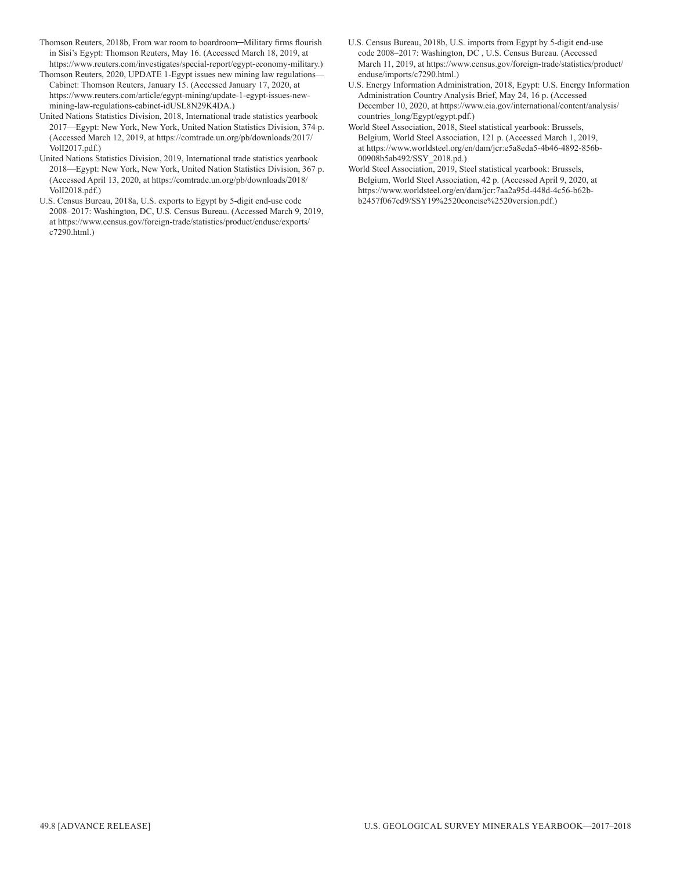- Thomson Reuters, 2018b, From war room to boardroom─Military firms flourish in Sisi's Egypt: Thomson Reuters, May 16. (Accessed March 18, 2019, at https://www.reuters.com/investigates/special-report/egypt-economy-military.)
- Thomson Reuters, 2020, UPDATE 1-Egypt issues new mining law regulations— Cabinet: Thomson Reuters, January 15. (Accessed January 17, 2020, at https://www.reuters.com/article/egypt-mining/update-1-egypt-issues-newmining-law-regulations-cabinet-idUSL8N29K4DA.)
- United Nations Statistics Division, 2018, International trade statistics yearbook 2017—Egypt: New York, New York, United Nation Statistics Division, 374 p. (Accessed March 12, 2019, at https://comtrade.un.org/pb/downloads/2017/ VolI2017.pdf.)
- United Nations Statistics Division, 2019, International trade statistics yearbook 2018—Egypt: New York, New York, United Nation Statistics Division, 367 p. (Accessed April 13, 2020, at https://comtrade.un.org/pb/downloads/2018/ VolI2018.pdf.)
- U.S. Census Bureau, 2018a, U.S. exports to Egypt by 5-digit end-use code 2008–2017: Washington, DC, U.S. Census Bureau. (Accessed March 9, 2019, at https://www.census.gov/foreign-trade/statistics/product/enduse/exports/ c7290.html.)
- U.S. Census Bureau, 2018b, U.S. imports from Egypt by 5-digit end-use code 2008–2017: Washington, DC , U.S. Census Bureau. (Accessed March 11, 2019, at https://www.census.gov/foreign-trade/statistics/product/ enduse/imports/c7290.html.)
- U.S. Energy Information Administration, 2018, Egypt: U.S. Energy Information Administration Country Analysis Brief, May 24, 16 p. (Accessed December 10, 2020, at https://www.eia.gov/international/content/analysis/ countries\_long/Egypt/egypt.pdf.)
- World Steel Association, 2018, Steel statistical yearbook: Brussels, Belgium, World Steel Association, 121 p. (Accessed March 1, 2019, at https://www.worldsteel.org/en/dam/jcr:e5a8eda5-4b46-4892-856b-00908b5ab492/SSY\_2018.pd.)
- World Steel Association, 2019, Steel statistical yearbook: Brussels, Belgium, World Steel Association, 42 p. (Accessed April 9, 2020, at https://www.worldsteel.org/en/dam/jcr:7aa2a95d-448d-4c56-b62bb2457f067cd9/SSY19%2520concise%2520version.pdf.)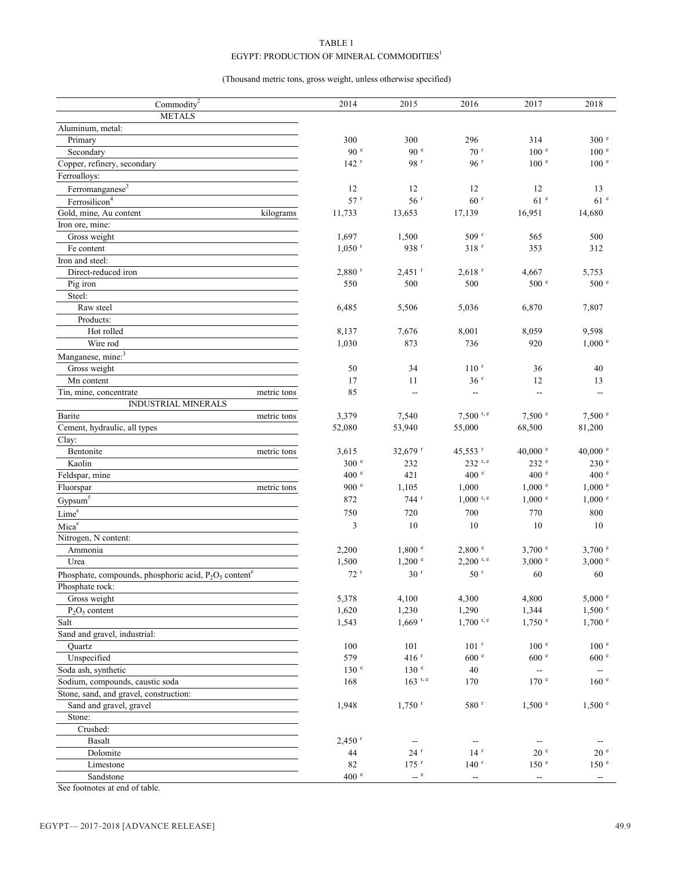# TABLE 1 EGYPT: PRODUCTION OF MINERAL COMMODITIES  $^{\rm l}$

(Thousand metric tons, gross weight, unless otherwise specified)

| Commodity $2$                                                        | 2014                 | 2015                     | 2016                     | 2017                                          | 2018                                                |
|----------------------------------------------------------------------|----------------------|--------------------------|--------------------------|-----------------------------------------------|-----------------------------------------------------|
| <b>METALS</b>                                                        |                      |                          |                          |                                               |                                                     |
| Aluminum, metal:                                                     |                      |                          |                          |                                               |                                                     |
| Primary                                                              | 300                  | 300                      | 296                      | 314                                           | 300 <sup>e</sup>                                    |
| Secondary                                                            | 90 <sup>e</sup>      | 90 <sup>e</sup>          | 70 <sup>r</sup>          | 100 <sup>e</sup>                              | 100 <sup>e</sup>                                    |
| Copper, refinery, secondary                                          | $142$ <sup>r</sup>   | 98 <sup>r</sup>          | 96r                      | 100 <sup>e</sup>                              | $100$ $^{\circ}$                                    |
| Ferroalloys:                                                         |                      |                          |                          |                                               |                                                     |
| Ferromanganese <sup>3</sup>                                          | 12                   | 12                       | 12                       | 12                                            | 13                                                  |
| Ferrosilicon <sup>4</sup>                                            | 57r                  | 56 <sup>r</sup>          | 60 <sup>r</sup>          | 61 <sup>e</sup>                               | 61 <sup>e</sup>                                     |
| Gold, mine, Au content<br>kilograms                                  | 11,733               | 13,653                   | 17,139                   | 16,951                                        | 14,680                                              |
| Iron ore, mine:                                                      |                      |                          |                          |                                               |                                                     |
| Gross weight                                                         | 1,697                | 1,500                    | $509$ <sup>r</sup>       | 565                                           | 500                                                 |
| Fe content                                                           | $1,050$ <sup>r</sup> | 938 r                    | $318$ $^{\rm r}$         | 353                                           | 312                                                 |
| Iron and steel:                                                      |                      |                          |                          |                                               |                                                     |
| Direct-reduced iron                                                  | $2,880$ <sup>r</sup> | $2,451$ <sup>r</sup>     | $2,618$ <sup>r</sup>     | 4,667                                         | 5,753                                               |
| Pig iron                                                             | 550                  | 500                      | 500                      | 500 e                                         | 500 <sup>e</sup>                                    |
| Steel:                                                               |                      |                          |                          |                                               |                                                     |
| Raw steel                                                            | 6,485                | 5,506                    | 5,036                    | 6,870                                         | 7,807                                               |
| Products:                                                            |                      |                          |                          |                                               |                                                     |
| Hot rolled                                                           | 8,137                | 7,676                    | 8,001                    | 8,059                                         | 9,598                                               |
| Wire rod                                                             | 1,030                | 873                      | 736                      | 920                                           | 1,000 °                                             |
| Manganese, mine: <sup>3</sup>                                        |                      |                          |                          |                                               |                                                     |
| Gross weight                                                         | 50                   | 34                       | $110$ <sup>r</sup>       | 36                                            | 40                                                  |
| Mn content                                                           | 17                   | 11                       | 36 <sup>r</sup>          | 12                                            | 13                                                  |
| Tin, mine, concentrate<br>metric tons                                | 85                   | $\overline{\phantom{a}}$ | --                       | $\mathord{\hspace{1pt}\text{--}\hspace{1pt}}$ | --                                                  |
| INDUSTRIAL MINERALS                                                  |                      |                          |                          |                                               |                                                     |
| Barite<br>metric tons                                                | 3,379                | 7,540                    | $7,500$ r, e             | 7,500 °                                       | 7,500 °                                             |
| Cement, hydraulic, all types                                         | 52,080               | 53,940                   | 55,000                   | 68,500                                        | 81,200                                              |
| Clay:                                                                |                      |                          |                          |                                               |                                                     |
| Bentonite<br>metric tons                                             | 3,615                | 32,679 r                 | 45,553 r                 | 40,000 $^{\circ}$                             | 40,000 $^{\circ}$                                   |
| Kaolin                                                               | 300 <sup>e</sup>     | 232                      | 232 r, e                 | 232 e                                         | 230 e                                               |
| Feldspar, mine                                                       | 400 <sup>e</sup>     | 421                      | 400 e                    | 400 <sup>e</sup>                              | 400 <sup>e</sup>                                    |
| Fluorspar<br>metric tons                                             | 900 e                | 1,105                    | 1,000                    | $1,000$ $e$                                   | $1{,}000$ $^{\circ}$                                |
| Gypsum <sup>5</sup>                                                  | 872                  | 744 <sup>r</sup>         | $1,000$ r, e             | $1,000$ $\degree$                             | $1,000$ $^{\circ}$                                  |
| $\mathop{\hbox{\rm Line}}\nolimits^{\rm e}$                          | 750                  | 720                      | 700                      | 770                                           | 800                                                 |
| Mica <sup>e</sup>                                                    | 3                    | 10                       | 10                       | $10\,$                                        | 10                                                  |
| Nitrogen, N content:                                                 |                      |                          |                          |                                               |                                                     |
| Ammonia                                                              | 2,200                | 1,800 °                  | 2,800 °                  | $3,700$ e                                     | $3,700$ e                                           |
| Urea                                                                 | 1,500                | $1,200$ $\degree$        | $2,200$ <sup>r, e</sup>  | $3,000$ e                                     | $3,000$ e                                           |
|                                                                      |                      | 30 <sup>r</sup>          | 50 <sup>r</sup>          | 60                                            | 60                                                  |
| Phosphate, compounds, phosphoric acid, $P_2O_5$ content <sup>e</sup> | $72$ <sup>r</sup>    |                          |                          |                                               |                                                     |
| Phosphate rock:                                                      |                      |                          |                          |                                               |                                                     |
| Gross weight                                                         | 5,378                | 4,100                    | 4,300                    | 4,800                                         | 5,000 e                                             |
| $P_2O_5$ content                                                     | 1,620                | 1,230                    | 1,290                    | 1,344                                         | 1,500 °                                             |
| Salt                                                                 | 1,543                | $1,669$ <sup>r</sup>     | $1,700$ <sup>r, e</sup>  | $1,750$ $\degree$                             | $1,700$ $\degree$                                   |
| Sand and gravel, industrial:                                         |                      |                          |                          |                                               |                                                     |
| Quartz                                                               | 100                  | 101                      | $101$ <sup>r</sup>       | 100 <sup>e</sup>                              | $100$ $^{\circ}$                                    |
| Unspecified                                                          | 579                  | $416$ <sup>r</sup>       | 600 e                    | 600 e                                         | 600 <sup>e</sup>                                    |
| Soda ash, synthetic                                                  | 130 e                | 130 <sup>e</sup>         | 40                       | $\overline{\phantom{a}}$                      | $\overline{\phantom{a}}$                            |
| Sodium, compounds, caustic soda                                      | 168                  | $163$ <sup>r, e</sup>    | 170                      | 170 <sup>e</sup>                              | 160 <sup>e</sup>                                    |
| Stone, sand, and gravel, construction:                               |                      |                          |                          |                                               |                                                     |
| Sand and gravel, gravel                                              | 1,948                | $1,750$ <sup>r</sup>     | 580 r                    | $1,500$ $\degree$                             | 1,500 °                                             |
| Stone:                                                               |                      |                          |                          |                                               |                                                     |
| Crushed:                                                             |                      |                          |                          |                                               |                                                     |
| <b>Basalt</b>                                                        | $2,450$ <sup>r</sup> |                          |                          |                                               |                                                     |
| Dolomite                                                             | 44                   | $24$ $r$                 | 14 <sup>r</sup>          | 20 <sup>°</sup>                               | 20 <sup>°</sup>                                     |
| Limestone                                                            | 82                   | $175$ <sup>r</sup>       | $140$ <sup>r</sup>       | 150 <sup>e</sup>                              | 150 <sup>e</sup>                                    |
| Sandstone                                                            | $400$ $^{\circ}$     | $-$ e                    | $\overline{\phantom{a}}$ | 4                                             | $\hspace{0.05cm} -\hspace{0.05cm} -\hspace{0.05cm}$ |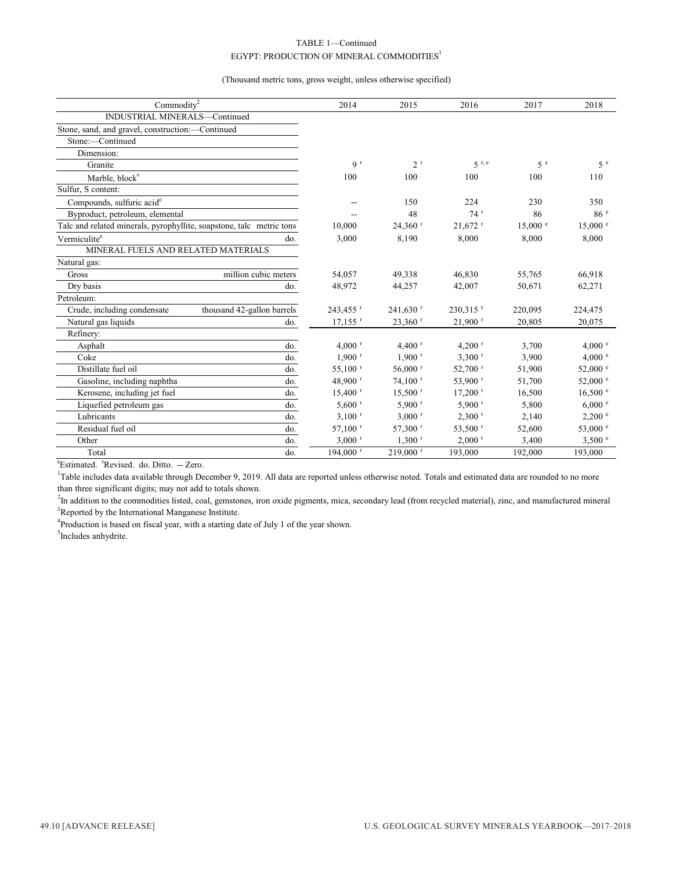#### TABLE 1—Continued EGYPT: PRODUCTION OF MINERAL COMMODITIES<sup>1</sup>

(Thousand metric tons, gross weight, unless otherwise specified)

| Commodity <sup>2</sup>                                               |                            | 2014                  | 2015                   | 2016                  | 2017         | 2018                |
|----------------------------------------------------------------------|----------------------------|-----------------------|------------------------|-----------------------|--------------|---------------------|
| INDUSTRIAL MINERALS-Continued                                        |                            |                       |                        |                       |              |                     |
| Stone, sand, and gravel, construction:-Continued                     |                            |                       |                        |                       |              |                     |
| Stone:-Continued                                                     |                            |                       |                        |                       |              |                     |
| Dimension:                                                           |                            |                       |                        |                       |              |                     |
| Granite                                                              |                            | 9 <sup>r</sup>        | 2 <sup>r</sup>         | 5 <sup>r, e</sup>     | 5e           | 5e                  |
| Marble, block <sup>e</sup>                                           |                            | 100                   | 100                    | 100                   | 100          | 110                 |
| Sulfur, S content:                                                   |                            |                       |                        |                       |              |                     |
| Compounds, sulfuric acid <sup>e</sup>                                |                            |                       | 150                    | 224                   | 230          | 350                 |
| Byproduct, petroleum, elemental                                      |                            |                       | 48                     | 74r                   | 86           | 86 <sup>e</sup>     |
| Talc and related minerals, pyrophyllite, soapstone, talc metric tons |                            | 10,000                | 24,360 r               | $21,672$ <sup>r</sup> | $15,000$ $e$ | $15,000$ $\degree$  |
| Vermiculite <sup>e</sup>                                             | do.                        | 3,000                 | 8,190                  | 8,000                 | 8,000        | 8,000               |
| MINERAL FUELS AND RELATED MATERIALS                                  |                            |                       |                        |                       |              |                     |
| Natural gas:                                                         |                            |                       |                        |                       |              |                     |
| Gross                                                                | million cubic meters       | 54,057                | 49,338                 | 46,830                | 55,765       | 66,918              |
| Dry basis                                                            | do.                        | 48,972                | 44,257                 | 42,007                | 50,671       | 62,271              |
| Petroleum:                                                           |                            |                       |                        |                       |              |                     |
| Crude, including condensate                                          | thousand 42-gallon barrels | 243,455 r             | $241,630$ <sup>r</sup> | 230,315 $r$           | 220,095      | 224,475             |
| Natural gas liquids                                                  | do.                        | $17,155$ <sup>r</sup> | $23,360$ <sup>r</sup>  | $21.900$ <sup>r</sup> | 20.805       | 20,075              |
| Refinery:                                                            |                            |                       |                        |                       |              |                     |
| Asphalt                                                              | do.                        | $4,000$ <sup>r</sup>  | 4,400 $r$              | 4,200 $r$             | 3,700        | 4,000 °             |
| Coke                                                                 | do.                        | $1,900$ <sup>r</sup>  | $1,900$ <sup>r</sup>   | $3,300$ <sup>r</sup>  | 3,900        | 4,000 °             |
| Distillate fuel oil                                                  | do.                        | $55,100$ <sup>r</sup> | $56,000$ r             | 52,700 r              | 51,900       | $52,000$ $^{\circ}$ |
| Gasoline, including naphtha                                          | do.                        | 48,900 $^{\rm r}$     | $74,100$ <sup>r</sup>  | 53,900 r              | 51,700       | $52,000$ $\degree$  |
| Kerosene, including jet fuel                                         | do.                        | $15,400$ <sup>r</sup> | $15,500$ <sup>r</sup>  | $17,200$ <sup>r</sup> | 16,500       | 16,500 °            |
| Liquefied petroleum gas                                              | do.                        | $5,600$ <sup>r</sup>  | $5,900$ <sup>r</sup>   | $5,900$ r             | 5,800        | 6,000 °             |
| Lubricants                                                           | do.                        | $3,100$ <sup>r</sup>  | $3,000$ <sup>r</sup>   | $2,300$ <sup>r</sup>  | 2,140        | $2,200$ $\degree$   |
| Residual fuel oil                                                    | do.                        | $57,100$ <sup>r</sup> | 57,300 r               | 53,500 r              | 52,600       | 53,000 e            |
| Other                                                                | do.                        | $3,000$ <sup>r</sup>  | $1,300$ <sup>r</sup>   | $2,000$ <sup>r</sup>  | 3,400        | 3,500 °             |
| Total                                                                | do.                        | 194,000 r             | 219,000 r              | 193,000               | 192,000      | 193,000             |
|                                                                      |                            |                       |                        |                       |              |                     |

<sup>e</sup>Estimated. <sup>r</sup>Revised. do. Ditto. -- Zero.

<sup>1</sup>Table includes data available through December 9, 2019. All data are reported unless otherwise noted. Totals and estimated data are rounded to no more than three significant digits; may not add to totals shown.

<sup>2</sup>In addition to the commodities listed, coal, gemstones, iron oxide pigments, mica, secondary lead (from recycled material), zinc, and manufactured mineral <sup>3</sup>Reported by the International Manganese Institute.

<sup>4</sup>Production is based on fiscal year, with a starting date of July 1 of the year shown.

<sup>5</sup>Includes anhydrite.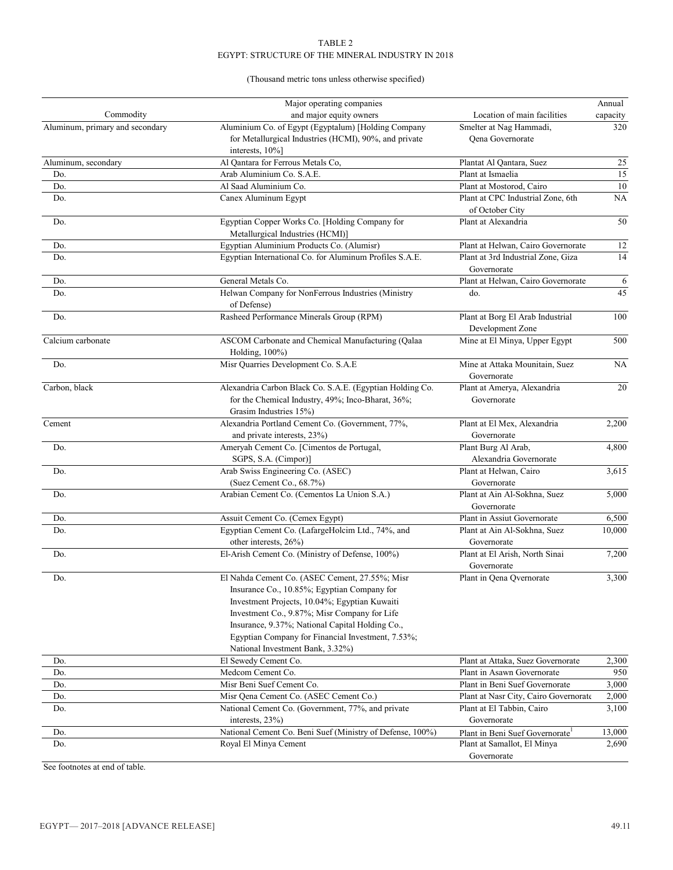# (Thousand metric tons unless otherwise specified)

|                                 | Major operating companies                                                |                                             | Annual    |
|---------------------------------|--------------------------------------------------------------------------|---------------------------------------------|-----------|
| Commodity                       | and major equity owners                                                  | Location of main facilities                 | capacity  |
| Aluminum, primary and secondary | Aluminium Co. of Egypt (Egyptalum) [Holding Company                      | Smelter at Nag Hammadi,                     | 320       |
|                                 | for Metallurgical Industries (HCMI), 90%, and private<br>interests, 10%] | Qena Governorate                            |           |
| Aluminum, secondary             | Al Qantara for Ferrous Metals Co,                                        | Plantat Al Qantara, Suez                    | 25        |
| Do.                             | Arab Aluminium Co. S.A.E.                                                | Plant at Ismaelia                           | 15        |
| Do.                             | Al Saad Aluminium Co.                                                    | Plant at Mostorod, Cairo                    | 10        |
| Do.                             | Canex Aluminum Egypt                                                     | Plant at CPC Industrial Zone, 6th           | NA        |
|                                 |                                                                          | of October City                             |           |
| Do.                             | Egyptian Copper Works Co. [Holding Company for                           | Plant at Alexandria                         | 50        |
|                                 | Metallurgical Industries (HCMI)]                                         |                                             |           |
| Do.                             | Egyptian Aluminium Products Co. (Alumisr)                                | Plant at Helwan, Cairo Governorate          | 12        |
| Do.                             | Egyptian International Co. for Aluminum Profiles S.A.E.                  | Plant at 3rd Industrial Zone, Giza          | 14        |
|                                 |                                                                          | Governorate                                 |           |
| Do.                             | General Metals Co.                                                       | Plant at Helwan, Cairo Governorate          | 6         |
| Do.                             | Helwan Company for NonFerrous Industries (Ministry                       | do.                                         | 45        |
|                                 | of Defense)                                                              |                                             |           |
| Do.                             | Rasheed Performance Minerals Group (RPM)                                 | Plant at Borg El Arab Industrial            | 100       |
|                                 |                                                                          | Development Zone                            |           |
| Calcium carbonate               | ASCOM Carbonate and Chemical Manufacturing (Qalaa                        | Mine at El Minya, Upper Egypt               | 500       |
|                                 | Holding, 100%)                                                           |                                             |           |
| Do.                             | Misr Quarries Development Co. S.A.E                                      | Mine at Attaka Mounitain, Suez              | <b>NA</b> |
|                                 |                                                                          | Governorate                                 |           |
| Carbon, black                   | Alexandria Carbon Black Co. S.A.E. (Egyptian Holding Co.                 | Plant at Amerya, Alexandria                 | 20        |
|                                 | for the Chemical Industry, 49%; Inco-Bharat, 36%;                        | Governorate                                 |           |
|                                 | Grasim Industries 15%)                                                   |                                             |           |
| Cement                          | Alexandria Portland Cement Co. (Government, 77%,                         | Plant at El Mex, Alexandria                 | 2,200     |
|                                 | and private interests, 23%)                                              | Governorate                                 |           |
| Do.                             | Ameryah Cement Co. [Cimentos de Portugal,                                | Plant Burg Al Arab,                         | 4,800     |
|                                 | SGPS, S.A. (Cimpor)]                                                     | Alexandria Governorate                      |           |
| Do.                             | Arab Swiss Engineering Co. (ASEC)                                        | Plant at Helwan, Cairo                      | 3,615     |
|                                 | (Suez Cement Co., 68.7%)                                                 | Governorate                                 |           |
| Do.                             | Arabian Cement Co. (Cementos La Union S.A.)                              | Plant at Ain Al-Sokhna, Suez                | 5,000     |
|                                 |                                                                          | Governorate                                 |           |
| Do.                             | Assuit Cement Co. (Cemex Egypt)                                          | Plant in Assiut Governorate                 | 6,500     |
| Do.                             | Egyptian Cement Co. (LafargeHolcim Ltd., 74%, and                        | Plant at Ain Al-Sokhna, Suez                | 10,000    |
|                                 | other interests, 26%)                                                    | Governorate                                 |           |
| Do.                             | El-Arish Cement Co. (Ministry of Defense, 100%)                          | Plant at El Arish, North Sinai              | 7,200     |
|                                 |                                                                          | Governorate                                 |           |
| Do.                             | El Nahda Cement Co. (ASEC Cement, 27.55%; Misr                           | Plant in Qena Qvernorate                    | 3,300     |
|                                 | Insurance Co., 10.85%; Egyptian Company for                              |                                             |           |
|                                 | Investment Projects, 10.04%; Egyptian Kuwaiti                            |                                             |           |
|                                 | Investment Co., 9.87%; Misr Company for Life                             |                                             |           |
|                                 | Insurance, 9.37%; National Capital Holding Co.,                          |                                             |           |
|                                 | Egyptian Company for Financial Investment, 7.53%;                        |                                             |           |
|                                 | National Investment Bank, 3.32%)                                         |                                             |           |
| Do.                             | El Sewedy Cement Co.                                                     | Plant at Attaka, Suez Governorate           | 2,300     |
| Do.                             | Medcom Cement Co.                                                        | Plant in Asawn Governorate                  | 950       |
| Do.                             | Misr Beni Suef Cement Co.                                                | Plant in Beni Suef Governorate              | 3,000     |
| Do.                             | Misr Qena Cement Co. (ASEC Cement Co.)                                   | Plant at Nasr City, Cairo Governorate       | 2,000     |
| Do.                             | National Cement Co. (Government, 77%, and private                        | Plant at El Tabbin, Cairo                   | 3,100     |
|                                 | interests, 23%)                                                          | Governorate                                 |           |
| Do.                             | National Cement Co. Beni Suef (Ministry of Defense, 100%)                | Plant in Beni Suef Governorate <sup>1</sup> | 13,000    |
| Do.                             | Royal El Minya Cement                                                    | Plant at Samallot, El Minya                 | 2,690     |
|                                 |                                                                          | Governorate                                 |           |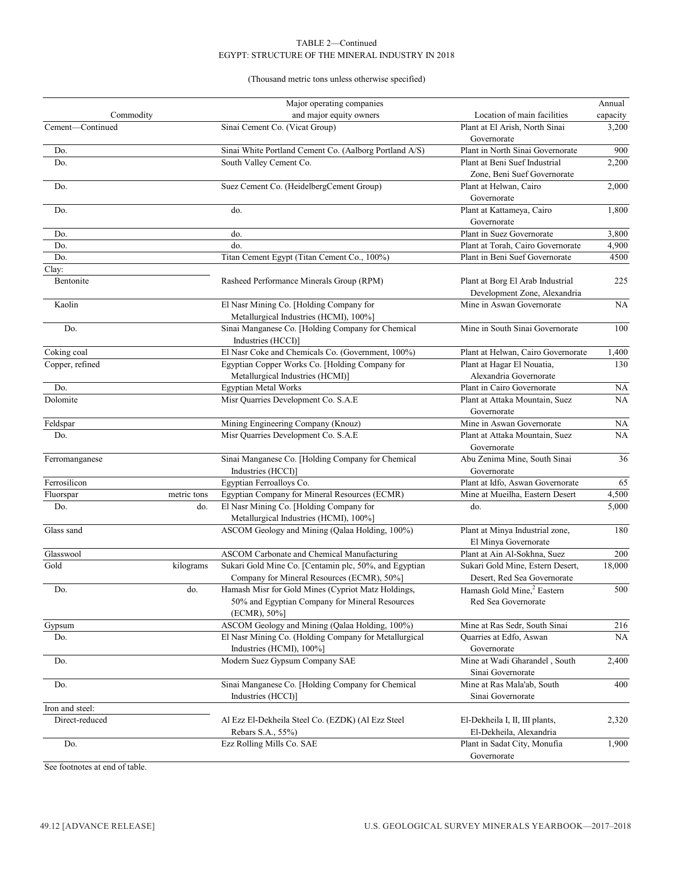# (Thousand metric tons unless otherwise specified)

|                  |             | Major operating companies                                                                                            |                                                                  | Annual    |
|------------------|-------------|----------------------------------------------------------------------------------------------------------------------|------------------------------------------------------------------|-----------|
| Commodity        |             | and major equity owners                                                                                              | Location of main facilities                                      | capacity  |
| Cement-Continued |             | Sinai Cement Co. (Vicat Group)                                                                                       | Plant at El Arish, North Sinai<br>Governorate                    | 3,200     |
| Do.              |             | Sinai White Portland Cement Co. (Aalborg Portland A/S)                                                               | Plant in North Sinai Governorate                                 | 900       |
| Do.              |             | South Valley Cement Co.                                                                                              | Plant at Beni Suef Industrial<br>Zone, Beni Suef Governorate     | 2,200     |
| Do.              |             | Suez Cement Co. (HeidelbergCement Group)                                                                             | Plant at Helwan, Cairo<br>Governorate                            | 2,000     |
| Do.              |             | do.                                                                                                                  | Plant at Kattameya, Cairo<br>Governorate                         | 1,800     |
| Do.              |             | do.                                                                                                                  | Plant in Suez Governorate                                        | 3,800     |
| Do.              |             | do.                                                                                                                  | Plant at Torah, Cairo Governorate                                | 4,900     |
| Do.              |             | Titan Cement Egypt (Titan Cement Co., 100%)                                                                          | Plant in Beni Suef Governorate                                   | 4500      |
| Clay:            |             |                                                                                                                      |                                                                  |           |
| Bentonite        |             | Rasheed Performance Minerals Group (RPM)                                                                             | Plant at Borg El Arab Industrial<br>Development Zone, Alexandria | 225       |
| Kaolin           |             | El Nasr Mining Co. [Holding Company for<br>Metallurgical Industries (HCMI), 100%]                                    | Mine in Aswan Governorate                                        | <b>NA</b> |
| Do.              |             | Sinai Manganese Co. [Holding Company for Chemical<br>Industries (HCCI)]                                              | Mine in South Sinai Governorate                                  | 100       |
| Coking coal      |             | El Nasr Coke and Chemicals Co. (Government, 100%)                                                                    | Plant at Helwan, Cairo Governorate                               | 1,400     |
| Copper, refined  |             | Egyptian Copper Works Co. [Holding Company for<br>Metallurgical Industries (HCMI)]                                   | Plant at Hagar El Nouatia,<br>Alexandria Governorate             | 130       |
| Do.              |             | <b>Egyptian Metal Works</b>                                                                                          | Plant in Cairo Governorate                                       | <b>NA</b> |
| Dolomite         |             | Misr Quarries Development Co. S.A.E                                                                                  | Plant at Attaka Mountain, Suez<br>Governorate                    | <b>NA</b> |
| Feldspar         |             | Mining Engineering Company (Knouz)                                                                                   | Mine in Aswan Governorate                                        | NA.       |
| Do.              |             | Misr Quarries Development Co. S.A.E                                                                                  | Plant at Attaka Mountain, Suez<br>Governorate                    | <b>NA</b> |
| Ferromanganese   |             | Sinai Manganese Co. [Holding Company for Chemical<br>Industries (HCCI)]                                              | Abu Zenima Mine, South Sinai<br>Governorate                      | 36        |
| Ferrosilicon     |             | Egyptian Ferroalloys Co.                                                                                             | Plant at Idfo, Aswan Governorate                                 | 65        |
| Fluorspar        | metric tons | Egyptian Company for Mineral Resources (ECMR)                                                                        | Mine at Mueilha, Eastern Desert                                  | 4,500     |
| Do.              | do.         | El Nasr Mining Co. [Holding Company for<br>Metallurgical Industries (HCMI), 100%]                                    | do.                                                              | 5,000     |
| Glass sand       |             | ASCOM Geology and Mining (Qalaa Holding, 100%)                                                                       | Plant at Minya Industrial zone,<br>El Minya Governorate          | 180       |
| Glasswool        |             | ASCOM Carbonate and Chemical Manufacturing                                                                           | Plant at Ain Al-Sokhna, Suez                                     | 200       |
| Gold             | kilograms   | Sukari Gold Mine Co. [Centamin plc, 50%, and Egyptian                                                                | Sukari Gold Mine, Estern Desert,<br>Desert, Red Sea Governorate  | 18,000    |
|                  |             | Company for Mineral Resources (ECMR), 50%]                                                                           |                                                                  |           |
| Do.              | do.         | Hamash Misr for Gold Mines (Cypriot Matz Holdings,<br>50% and Egyptian Company for Mineral Resources<br>(ECMR), 50%] | Hamash Gold Mine, <sup>2</sup> Eastern<br>Red Sea Governorate    | 500       |
| Gypsum           |             | ASCOM Geology and Mining (Qalaa Holding, 100%)                                                                       | Mine at Ras Sedr, South Sinai                                    | 216       |
| Do.              |             | El Nasr Mining Co. (Holding Company for Metallurgical<br>Industries (HCMI), 100%]                                    | Quarries at Edfo, Aswan<br>Governorate                           | <b>NA</b> |
| Do.              |             | Modern Suez Gypsum Company SAE                                                                                       | Mine at Wadi Gharandel, South<br>Sinai Governorate               | 2,400     |
| Do.              |             | Sinai Manganese Co. [Holding Company for Chemical<br>Industries (HCCI)]                                              | Mine at Ras Mala'ab, South<br>Sinai Governorate                  | 400       |
| Iron and steel:  |             |                                                                                                                      |                                                                  |           |
| Direct-reduced   |             | Al Ezz El-Dekheila Steel Co. (EZDK) (Al Ezz Steel<br>Rebars S.A., 55%)                                               | El-Dekheila I, II, III plants,<br>El-Dekheila, Alexandria        | 2,320     |
| Do.              |             | Ezz Rolling Mills Co. SAE                                                                                            | Plant in Sadat City, Monufia<br>Governorate                      | 1,900     |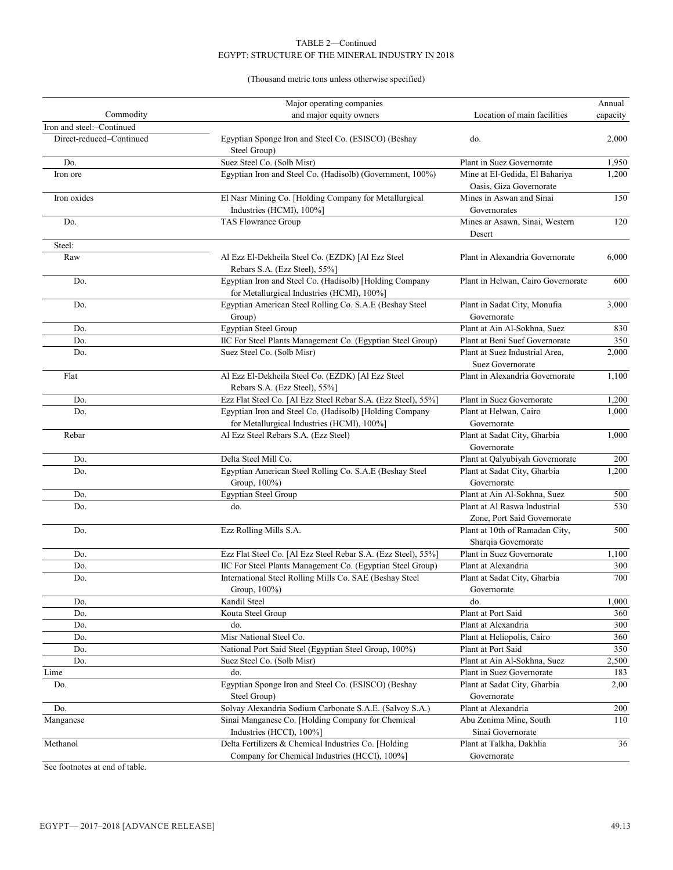# (Thousand metric tons unless otherwise specified)

|                           | Major operating companies                                                                              |                                                             | Annual   |
|---------------------------|--------------------------------------------------------------------------------------------------------|-------------------------------------------------------------|----------|
| Commodity                 | and major equity owners                                                                                | Location of main facilities                                 | capacity |
| Iron and steel:-Continued |                                                                                                        |                                                             |          |
| Direct-reduced-Continued  | Egyptian Sponge Iron and Steel Co. (ESISCO) (Beshay<br>Steel Group)                                    | do.                                                         | 2,000    |
| Do.                       | Suez Steel Co. (Solb Misr)                                                                             | Plant in Suez Governorate                                   | 1,950    |
| Iron ore                  | Egyptian Iron and Steel Co. (Hadisolb) (Government, 100%)                                              | Mine at El-Gedida, El Bahariya<br>Oasis, Giza Governorate   | 1,200    |
| Iron oxides               | El Nasr Mining Co. [Holding Company for Metallurgical<br>Industries (HCMI), 100%]                      | Mines in Aswan and Sinai<br>Governorates                    | 150      |
| Do.                       | TAS Flowrance Group                                                                                    | Mines ar Asawn, Sinai, Western<br>Desert                    | 120      |
| Steel:                    |                                                                                                        |                                                             |          |
| Raw                       | Al Ezz El-Dekheila Steel Co. (EZDK) [Al Ezz Steel<br>Rebars S.A. (Ezz Steel), 55%]                     | Plant in Alexandria Governorate                             | 6,000    |
| Do.                       | Egyptian Iron and Steel Co. (Hadisolb) [Holding Company<br>for Metallurgical Industries (HCMI), 100%]  | Plant in Helwan, Cairo Governorate                          | 600      |
| Do.                       | Egyptian American Steel Rolling Co. S.A.E (Beshay Steel<br>Group)                                      | Plant in Sadat City, Monufia<br>Governorate                 | 3,000    |
| Do.                       | Egyptian Steel Group                                                                                   | Plant at Ain Al-Sokhna, Suez                                | 830      |
| Do.                       | IIC For Steel Plants Management Co. (Egyptian Steel Group)                                             | Plant at Beni Suef Governorate                              | 350      |
| Do.                       | Suez Steel Co. (Solb Misr)                                                                             | Plant at Suez Industrial Area.<br>Suez Governorate          | 2,000    |
| Flat                      | Al Ezz El-Dekheila Steel Co. (EZDK) [Al Ezz Steel<br>Rebars S.A. (Ezz Steel), 55%]                     | Plant in Alexandria Governorate                             | 1,100    |
| Do.                       | Ezz Flat Steel Co. [Al Ezz Steel Rebar S.A. (Ezz Steel), 55%]                                          | Plant in Suez Governorate                                   | 1,200    |
| Do.                       | Egyptian Iron and Steel Co. (Hadisolb) [Holding Company<br>for Metallurgical Industries (HCMI), 100%]  | Plant at Helwan, Cairo<br>Governorate                       | 1,000    |
| Rebar                     | Al Ezz Steel Rebars S.A. (Ezz Steel)                                                                   | Plant at Sadat City, Gharbia<br>Governorate                 | 1,000    |
| Do.                       | Delta Steel Mill Co.                                                                                   | Plant at Qalyubiyah Governorate                             | 200      |
| Do.                       | Egyptian American Steel Rolling Co. S.A.E (Beshay Steel<br>Group, 100%)                                | Plant at Sadat City, Gharbia<br>Governorate                 | 1,200    |
| Do.                       | <b>Egyptian Steel Group</b>                                                                            | Plant at Ain Al-Sokhna, Suez                                | 500      |
| Do.                       | do.                                                                                                    | Plant at Al Raswa Industrial<br>Zone, Port Said Governorate | 530      |
| Do.                       | Ezz Rolling Mills S.A.                                                                                 | Plant at 10th of Ramadan City,<br>Sharqia Governorate       | 500      |
| Do.                       | Ezz Flat Steel Co. [Al Ezz Steel Rebar S.A. (Ezz Steel), 55%]                                          | Plant in Suez Governorate                                   | 1,100    |
| Do.                       | IIC For Steel Plants Management Co. (Egyptian Steel Group)                                             | Plant at Alexandria                                         | 300      |
| Do.                       | International Steel Rolling Mills Co. SAE (Beshay Steel<br>Group, 100%)                                | Plant at Sadat City, Gharbia<br>Governorate                 | 700      |
| Do.                       | Kandil Steel                                                                                           | do.                                                         | 1,000    |
| Do.                       | Kouta Steel Group                                                                                      | Plant at Port Said                                          | 360      |
| Do.                       | do.                                                                                                    | Plant at Alexandria                                         | 300      |
| Do.                       | Misr National Steel Co.                                                                                | Plant at Heliopolis, Cairo                                  | 360      |
| Do.                       | National Port Said Steel (Egyptian Steel Group, 100%)                                                  | Plant at Port Said                                          | 350      |
| Do.                       | Suez Steel Co. (Solb Misr)                                                                             | Plant at Ain Al-Sokhna, Suez                                | 2,500    |
| Lime                      | do.                                                                                                    | Plant in Suez Governorate                                   | 183      |
| Do.                       | Egyptian Sponge Iron and Steel Co. (ESISCO) (Beshay<br>Steel Group)                                    | Plant at Sadat City, Gharbia<br>Governorate                 | 2,00     |
| Do.                       | Solvay Alexandria Sodium Carbonate S.A.E. (Salvoy S.A.)                                                | Plant at Alexandria                                         | 200      |
| Manganese                 | Sinai Manganese Co. [Holding Company for Chemical<br>Industries (HCCI), 100%]                          | Abu Zenima Mine, South<br>Sinai Governorate                 | 110      |
| Methanol                  | Delta Fertilizers & Chemical Industries Co. [Holding]<br>Company for Chemical Industries (HCCI), 100%] | Plant at Talkha, Dakhlia<br>Governorate                     | 36       |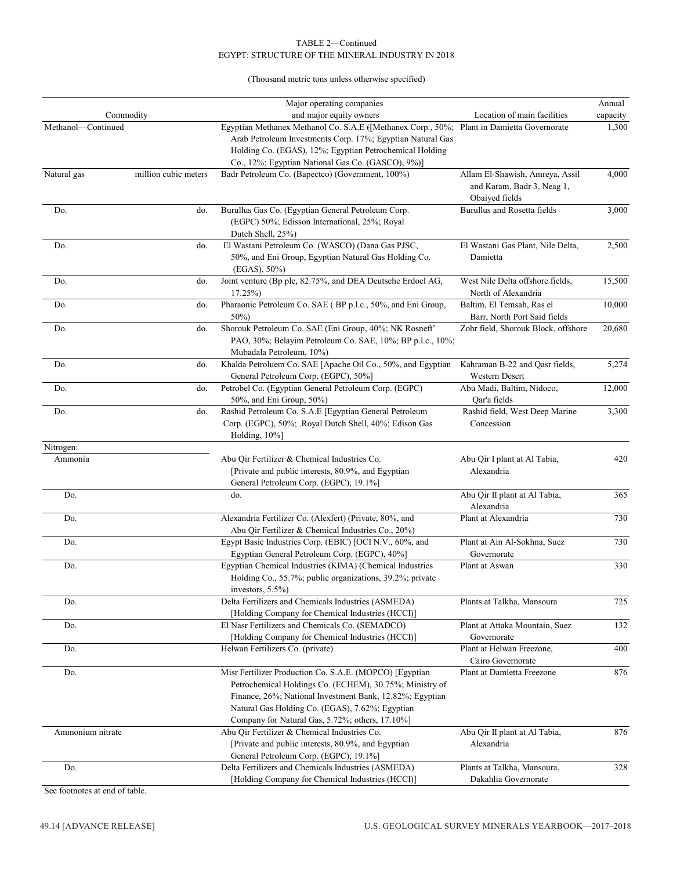(Thousand metric tons unless otherwise specified)

|                    |                      | Major operating companies                                                                                                                                                                                                                                                            |                                                                                 | Annual   |
|--------------------|----------------------|--------------------------------------------------------------------------------------------------------------------------------------------------------------------------------------------------------------------------------------------------------------------------------------|---------------------------------------------------------------------------------|----------|
| Commodity          |                      | and major equity owners                                                                                                                                                                                                                                                              | Location of main facilities                                                     | capacity |
| Methanol-Continued |                      | Egyptian Methanex Methanol Co. S.A.E ([Methanex Corp., 50%; Plant in Damietta Governorate<br>Arab Petroleum Investments Corp. 17%; Egyptian Natural Gas<br>Holding Co. (EGAS), 12%; Egyptian Petrochemical Holding<br>Co., 12%; Egyptian National Gas Co. (GASCO), 9%)]              |                                                                                 | 1,300    |
| Natural gas        | million cubic meters | Badr Petroleum Co. (Bapectco) (Government, 100%)                                                                                                                                                                                                                                     | Allam El-Shawish, Amreya, Assil<br>and Karam, Badr 3, Neag 1,<br>Obaiyed fields | 4,000    |
| Do.                | do.                  | Burullus Gas Co. (Egyptian General Petroleum Corp.<br>(EGPC) 50%; Edisson International, 25%; Royal<br>Dutch Shell, 25%)                                                                                                                                                             | Burullus and Rosetta fields                                                     | 3,000    |
| Do.                | do.                  | El Wastani Petroleum Co. (WASCO) (Dana Gas PJSC,<br>50%, and Eni Group, Egyptian Natural Gas Holding Co.<br>$(EGAS), 50\%)$                                                                                                                                                          | El Wastani Gas Plant, Nile Delta,<br>Damietta                                   | 2,500    |
| Do.                | do.                  | Joint venture (Bp plc, 82.75%, and DEA Deutsche Erdoel AG,<br>$17.25\%$                                                                                                                                                                                                              | West Nile Delta offshore fields,<br>North of Alexandria                         | 15,500   |
| Do.                | do.                  | Pharaonic Petroleum Co. SAE (BP p.l.c., 50%, and Eni Group,<br>$50\%)$                                                                                                                                                                                                               | Baltim, El Temsah, Ras el<br>Barr, North Port Said fields                       | 10,000   |
| Do.                | do.                  | Shorouk Petroleum Co. SAE (Eni Group, 40%; NK Rosneft'<br>PAO, 30%; Belayim Petroleum Co. SAE, 10%; BP p.l.c., 10%;<br>Mubadala Petroleum, 10%)                                                                                                                                      | Zohr field, Shorouk Block, offshore                                             | 20,680   |
| Do.                | do.                  | Khalda Petroluem Co. SAE [Apache Oil Co., 50%, and Egyptian<br>General Petroleum Corp. (EGPC), 50%]                                                                                                                                                                                  | Kahraman B-22 and Qasr fields,<br>Western Desert                                | 5,274    |
| Do.                | do.                  | Petrobel Co. (Egyptian General Petroleum Corp. (EGPC)<br>50%, and Eni Group, 50%)                                                                                                                                                                                                    | Abu Madi, Baltim, Nidoco,<br>Qar'a fields                                       | 12,000   |
| Do.                | do.                  | Rashid Petroleum Co. S.A.E [Egyptian General Petroleum<br>Corp. (EGPC), 50%; .Royal Dutch Shell, 40%; Edison Gas<br>Holding, 10%]                                                                                                                                                    | Rashid field, West Deep Marine<br>Concession                                    | 3,300    |
| Nitrogen:          |                      |                                                                                                                                                                                                                                                                                      |                                                                                 |          |
| Ammonia            |                      | Abu Qir Fertilizer & Chemical Industries Co.<br>[Private and public interests, 80.9%, and Egyptian<br>General Petroleum Corp. (EGPC), 19.1%]                                                                                                                                         | Abu Qir I plant at Al Tabia,<br>Alexandria                                      | 420      |
| Do.                |                      | do.                                                                                                                                                                                                                                                                                  | Abu Qir II plant at Al Tabia,<br>Alexandria                                     | 365      |
| Do.                |                      | Alexandria Fertilizer Co. (Alexfert) (Private, 80%, and<br>Abu Qir Fertilizer & Chemical Industries Co., 20%)                                                                                                                                                                        | Plant at Alexandria                                                             | 730      |
| Do.                |                      | Egypt Basic Industries Corp. (EBIC) [OCI N.V., 60%, and<br>Egyptian General Petroleum Corp. (EGPC), 40%]                                                                                                                                                                             | Plant at Ain Al-Sokhna, Suez<br>Governorate                                     | 730      |
| Do.                |                      | Egyptian Chemical Industries (KIMA) (Chemical Industries<br>Holding Co., 55.7%; public organizations, 39.2%; private<br>investors, 5.5%)                                                                                                                                             | Plant at Aswan                                                                  | 330      |
| Do.                |                      | Delta Fertilizers and Chemicals Industries (ASMEDA)<br>[Holding Company for Chemical Industries (HCCI)]                                                                                                                                                                              | Plants at Talkha, Mansoura                                                      | 725      |
| Do.                |                      | El Nasr Fertilizers and Chemicals Co. (SEMADCO)<br>[Holding Company for Chemical Industries (HCCI)]                                                                                                                                                                                  | Plant at Attaka Mountain, Suez<br>Governorate                                   | 132      |
| Do.                |                      | Helwan Fertilizers Co. (private)                                                                                                                                                                                                                                                     | Plant at Helwan Freezone,<br>Cairo Governorate                                  | 400      |
| Do.                |                      | Misr Fertilizer Production Co. S.A.E. (MOPCO) [Egyptian<br>Petrochemical Holdings Co. (ECHEM), 30.75%; Ministry of<br>Finance, 26%; National Investment Bank, 12.82%; Egyptian<br>Natural Gas Holding Co. (EGAS), 7.62%; Egyptian<br>Company for Natural Gas, 5.72%; others, 17.10%] | Plant at Damietta Freezone                                                      | 876      |
| Ammonium nitrate   |                      | Abu Qir Fertilizer & Chemical Industries Co.<br>[Private and public interests, 80.9%, and Egyptian<br>General Petroleum Corp. (EGPC), 19.1%]                                                                                                                                         | Abu Qir II plant at Al Tabia,<br>Alexandria                                     | 876      |
| Do.                |                      | Delta Fertilizers and Chemicals Industries (ASMEDA)<br>[Holding Company for Chemical Industries (HCCI)]                                                                                                                                                                              | Plants at Talkha, Mansoura,<br>Dakahlia Governorate                             | 328      |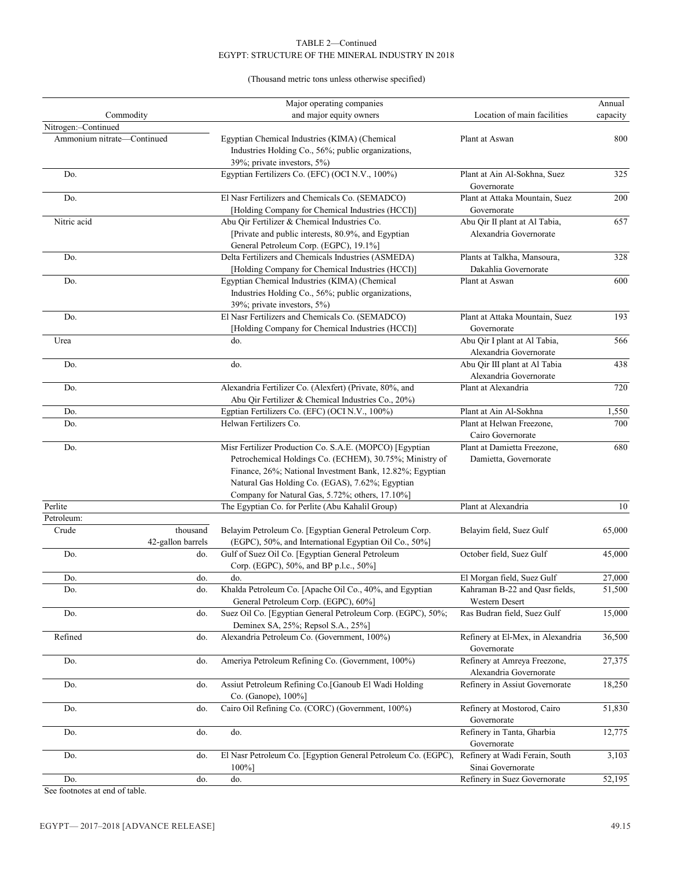# EGYPT: STRUCTURE OF THE MINERAL INDUSTRY IN 2018 TABLE 2—Continued

# (Thousand metric tons unless otherwise specified)

|                       |                            | Major operating companies                                                                    |                                               | Annual   |
|-----------------------|----------------------------|----------------------------------------------------------------------------------------------|-----------------------------------------------|----------|
|                       | Commodity                  | and major equity owners                                                                      | Location of main facilities                   | capacity |
| Nitrogen:-Continued   |                            |                                                                                              |                                               |          |
|                       | Ammonium nitrate-Continued | Egyptian Chemical Industries (KIMA) (Chemical                                                | Plant at Aswan                                | 800      |
|                       |                            | Industries Holding Co., 56%; public organizations,                                           |                                               |          |
|                       |                            | 39%; private investors, 5%)                                                                  |                                               |          |
| Do.                   |                            | Egyptian Fertilizers Co. (EFC) (OCI N.V., 100%)                                              | Plant at Ain Al-Sokhna, Suez<br>Governorate   | 325      |
| Do.                   |                            | El Nasr Fertilizers and Chemicals Co. (SEMADCO)                                              | Plant at Attaka Mountain, Suez                | 200      |
|                       |                            | [Holding Company for Chemical Industries (HCCI)]                                             | Governorate                                   |          |
| Nitric acid           |                            | Abu Qir Fertilizer & Chemical Industries Co.                                                 | Abu Qir II plant at Al Tabia,                 | 657      |
|                       |                            | [Private and public interests, 80.9%, and Egyptian                                           | Alexandria Governorate                        |          |
|                       |                            | General Petroleum Corp. (EGPC), 19.1%]                                                       |                                               |          |
| Do.                   |                            | Delta Fertilizers and Chemicals Industries (ASMEDA)                                          | Plants at Talkha, Mansoura,                   | 328      |
|                       |                            | [Holding Company for Chemical Industries (HCCI)]                                             | Dakahlia Governorate                          |          |
| Do.                   |                            | Egyptian Chemical Industries (KIMA) (Chemical                                                | Plant at Aswan                                | 600      |
|                       |                            | Industries Holding Co., 56%; public organizations,                                           |                                               |          |
|                       |                            | 39%; private investors, 5%)                                                                  |                                               |          |
| Do.                   |                            | El Nasr Fertilizers and Chemicals Co. (SEMADCO)                                              | Plant at Attaka Mountain, Suez<br>Governorate | 193      |
| Urea                  |                            | [Holding Company for Chemical Industries (HCCI)]<br>do.                                      | Abu Qir I plant at Al Tabia,                  | 566      |
|                       |                            |                                                                                              | Alexandria Governorate                        |          |
| Do.                   |                            | do.                                                                                          | Abu Qir III plant at Al Tabia                 | 438      |
|                       |                            |                                                                                              | Alexandria Governorate                        |          |
| Do.                   |                            | Alexandria Fertilizer Co. (Alexfert) (Private, 80%, and                                      | Plant at Alexandria                           | 720      |
|                       |                            | Abu Qir Fertilizer & Chemical Industries Co., 20%)                                           |                                               |          |
| Do.                   |                            | Egptian Fertilizers Co. (EFC) (OCI N.V., 100%)                                               | Plant at Ain Al-Sokhna                        | 1,550    |
| Do.                   |                            | Helwan Fertilizers Co.                                                                       | Plant at Helwan Freezone,                     | 700      |
|                       |                            |                                                                                              | Cairo Governorate                             |          |
| Do.                   |                            | Misr Fertilizer Production Co. S.A.E. (MOPCO) [Egyptian                                      | Plant at Damietta Freezone,                   | 680      |
|                       |                            | Petrochemical Holdings Co. (ECHEM), 30.75%; Ministry of                                      | Damietta, Governorate                         |          |
|                       |                            | Finance, 26%; National Investment Bank, 12.82%; Egyptian                                     |                                               |          |
|                       |                            | Natural Gas Holding Co. (EGAS), 7.62%; Egyptian                                              |                                               |          |
|                       |                            | Company for Natural Gas, 5.72%; others, 17.10%]                                              |                                               |          |
| Perlite<br>Petroleum: |                            | The Egyptian Co. for Perlite (Abu Kahalil Group)                                             | Plant at Alexandria                           | 10       |
| Crude                 | thousand                   | Belayim Petroleum Co. [Egyptian General Petroleum Corp.                                      | Belayim field, Suez Gulf                      | 65,000   |
|                       | 42-gallon barrels          | (EGPC), 50%, and International Egyptian Oil Co., 50%]                                        |                                               |          |
| Do.                   | do.                        | Gulf of Suez Oil Co. [Egyptian General Petroleum                                             | October field, Suez Gulf                      | 45,000   |
|                       |                            | Corp. (EGPC), 50%, and BP p.l.c., 50%]                                                       |                                               |          |
| Do.                   | do.                        | do.                                                                                          | El Morgan field, Suez Gulf                    | 27,000   |
| Do.                   | do.                        | Khalda Petroleum Co. [Apache Oil Co., 40%, and Egyptian                                      | Kahraman B-22 and Qasr fields,                | 51,500   |
|                       |                            | General Petroleum Corp. (EGPC), 60%]                                                         | Western Desert                                |          |
| Do.                   | do.                        | Suez Oil Co. [Egyptian General Petroleum Corp. (EGPC), 50%;                                  | Ras Budran field, Suez Gulf                   | 15,000   |
|                       |                            | Deminex SA, 25%; Repsol S.A., 25%]                                                           |                                               |          |
| Refined               | do.                        | Alexandria Petroleum Co. (Government, 100%)                                                  | Refinery at El-Mex, in Alexandria             | 36,500   |
|                       |                            |                                                                                              | Governorate                                   |          |
| Do.                   | do.                        | Ameriya Petroleum Refining Co. (Government, 100%)                                            | Refinery at Amreya Freezone,                  | 27,375   |
|                       |                            |                                                                                              | Alexandria Governorate                        |          |
| Do.                   | do.                        | Assiut Petroleum Refining Co. [Ganoub El Wadi Holding]                                       | Refinery in Assiut Governorate                | 18,250   |
|                       | do.                        | Co. (Ganope), 100%]<br>Cairo Oil Refining Co. (CORC) (Government, 100%)                      | Refinery at Mostorod, Cairo                   |          |
| Do.                   |                            |                                                                                              | Governorate                                   | 51,830   |
| Do.                   | do.                        | do.                                                                                          | Refinery in Tanta, Gharbia                    | 12,775   |
|                       |                            |                                                                                              | Governorate                                   |          |
| Do.                   | do.                        | El Nasr Petroleum Co. [Egyption General Petroleum Co. (EGPC), Refinery at Wadi Ferain, South |                                               | 3,103    |
|                       |                            | $100\%$ ]                                                                                    | Sinai Governorate                             |          |
| Do.                   | do.                        | do.                                                                                          | Refinery in Suez Governorate                  | 52,195   |
|                       |                            |                                                                                              |                                               |          |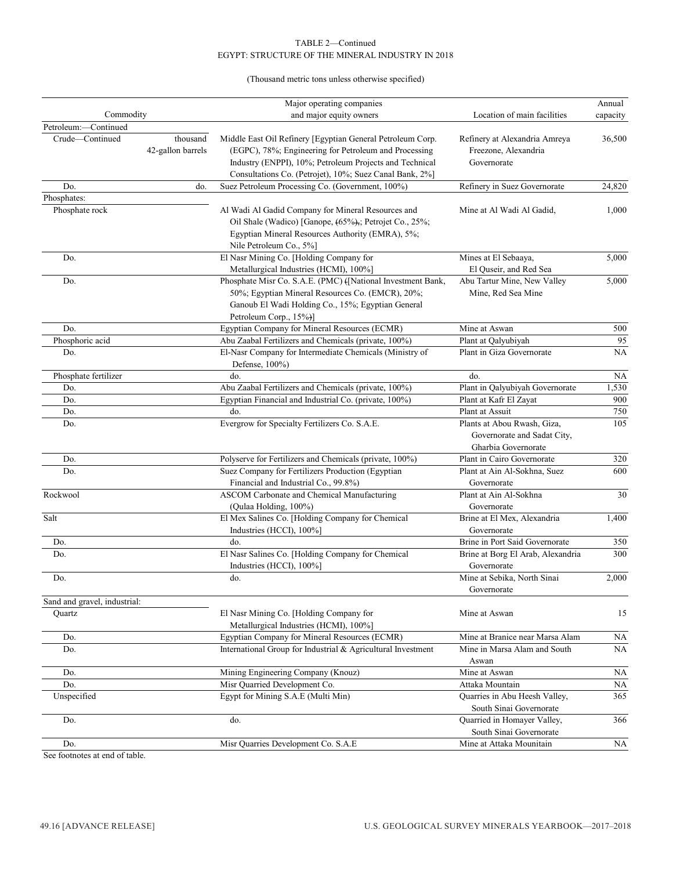# (Thousand metric tons unless otherwise specified)

|                              |                               | Major operating companies                                                                                                                                                                                                                 |                                                                                   | Annual    |
|------------------------------|-------------------------------|-------------------------------------------------------------------------------------------------------------------------------------------------------------------------------------------------------------------------------------------|-----------------------------------------------------------------------------------|-----------|
| Commodity                    |                               | and major equity owners                                                                                                                                                                                                                   | Location of main facilities                                                       | capacity  |
| Petroleum:-Continued         |                               |                                                                                                                                                                                                                                           |                                                                                   |           |
| Crude-Continued              | thousand<br>42-gallon barrels | Middle East Oil Refinery [Egyptian General Petroleum Corp.<br>(EGPC), 78%; Engineering for Petroleum and Processing<br>Industry (ENPPI), 10%; Petroleum Projects and Technical<br>Consultations Co. (Petrojet), 10%; Suez Canal Bank, 2%] | Refinery at Alexandria Amreya<br>Freezone, Alexandria<br>Governorate              | 36,500    |
| Do.                          | do.                           | Suez Petroleum Processing Co. (Government, 100%)                                                                                                                                                                                          | Refinery in Suez Governorate                                                      | 24,820    |
| Phosphates:                  |                               |                                                                                                                                                                                                                                           |                                                                                   |           |
| Phosphate rock               |                               | Al Wadi Al Gadid Company for Mineral Resources and<br>Oil Shale (Wadico) [Ganope, (65%),; Petrojet Co., 25%;<br>Egyptian Mineral Resources Authority (EMRA), 5%;<br>Nile Petroleum Co., 5%]                                               | Mine at Al Wadi Al Gadid,                                                         | 1,000     |
| Do.                          |                               | El Nasr Mining Co. [Holding Company for<br>Metallurgical Industries (HCMI), 100%]                                                                                                                                                         | Mines at El Sebaaya,<br>El Quseir, and Red Sea                                    | 5,000     |
| Do.                          |                               | Phosphate Misr Co. S.A.E. (PMC) ([National Investment Bank,<br>50%; Egyptian Mineral Resources Co. (EMCR), 20%;<br>Ganoub El Wadi Holding Co., 15%; Egyptian General<br>Petroleum Corp., 15%)]                                            | Abu Tartur Mine, New Valley<br>Mine, Red Sea Mine                                 | 5,000     |
| Do.                          |                               | Egyptian Company for Mineral Resources (ECMR)                                                                                                                                                                                             | Mine at Aswan                                                                     | 500       |
| Phosphoric acid              |                               | Abu Zaabal Fertilizers and Chemicals (private, 100%)                                                                                                                                                                                      | Plant at Qalyubiyah                                                               | 95        |
| Do.                          |                               | El-Nasr Company for Intermediate Chemicals (Ministry of<br>Defense, 100%)                                                                                                                                                                 | Plant in Giza Governorate                                                         | NA        |
| Phosphate fertilizer         |                               | do.                                                                                                                                                                                                                                       | do.                                                                               | <b>NA</b> |
| Do.                          |                               | Abu Zaabal Fertilizers and Chemicals (private, 100%)                                                                                                                                                                                      | Plant in Qalyubiyah Governorate                                                   | 1,530     |
| Do.                          |                               | Egyptian Financial and Industrial Co. (private, 100%)                                                                                                                                                                                     | Plant at Kafr El Zayat                                                            | 900       |
| Do.                          |                               | do.                                                                                                                                                                                                                                       | Plant at Assuit                                                                   | 750       |
| Do.                          |                               | Evergrow for Specialty Fertilizers Co. S.A.E.                                                                                                                                                                                             | Plants at Abou Rwash, Giza,<br>Governorate and Sadat City,<br>Gharbia Governorate | 105       |
| Do.                          |                               | Polyserve for Fertilizers and Chemicals (private, 100%)                                                                                                                                                                                   | Plant in Cairo Governorate                                                        | 320       |
| Do.                          |                               | Suez Company for Fertilizers Production (Egyptian<br>Financial and Industrial Co., 99.8%)                                                                                                                                                 | Plant at Ain Al-Sokhna, Suez<br>Governorate                                       | 600       |
| Rockwool                     |                               | ASCOM Carbonate and Chemical Manufacturing<br>(Qulaa Holding, 100%)                                                                                                                                                                       | Plant at Ain Al-Sokhna<br>Governorate                                             | 30        |
| Salt                         |                               | El Mex Salines Co. [Holding Company for Chemical<br>Industries (HCCI), 100%]                                                                                                                                                              | Brine at El Mex, Alexandria<br>Governorate                                        | 1,400     |
| Do.                          |                               | do.                                                                                                                                                                                                                                       | Brine in Port Said Governorate                                                    | 350       |
| Do.                          |                               | El Nasr Salines Co. [Holding Company for Chemical<br>Industries (HCCI), 100%]                                                                                                                                                             | Brine at Borg El Arab, Alexandria<br>Governorate                                  | 300       |
| Do.                          |                               | do.                                                                                                                                                                                                                                       | Mine at Sebika, North Sinai<br>Governorate                                        | 2,000     |
| Sand and gravel, industrial: |                               |                                                                                                                                                                                                                                           |                                                                                   |           |
| Quartz                       |                               | El Nasr Mining Co. [Holding Company for<br>Metallurgical Industries (HCMI), 100%]                                                                                                                                                         | Mine at Aswan                                                                     | 15        |
| Do.                          |                               | Egyptian Company for Mineral Resources (ECMR)                                                                                                                                                                                             | Mine at Branice near Marsa Alam                                                   | NA        |
| Do.                          |                               | International Group for Industrial & Agricultural Investment                                                                                                                                                                              | Mine in Marsa Alam and South<br>Aswan                                             | NA.       |
| Do.                          |                               | Mining Engineering Company (Knouz)                                                                                                                                                                                                        | Mine at Aswan                                                                     | NA        |
| Do.                          |                               | Misr Quarried Development Co.                                                                                                                                                                                                             | Attaka Mountain                                                                   | NA        |
| Unspecified                  |                               | Egypt for Mining S.A.E (Multi Min)                                                                                                                                                                                                        | Quarries in Abu Heesh Valley,                                                     | 365       |
|                              |                               |                                                                                                                                                                                                                                           | South Sinai Governorate                                                           |           |
| Do.                          |                               | do.                                                                                                                                                                                                                                       | Quarried in Homayer Valley,                                                       | 366       |
|                              |                               |                                                                                                                                                                                                                                           | South Sinai Governorate                                                           |           |
| Do.                          |                               | Misr Quarries Development Co. S.A.E                                                                                                                                                                                                       | Mine at Attaka Mounitain                                                          | <b>NA</b> |